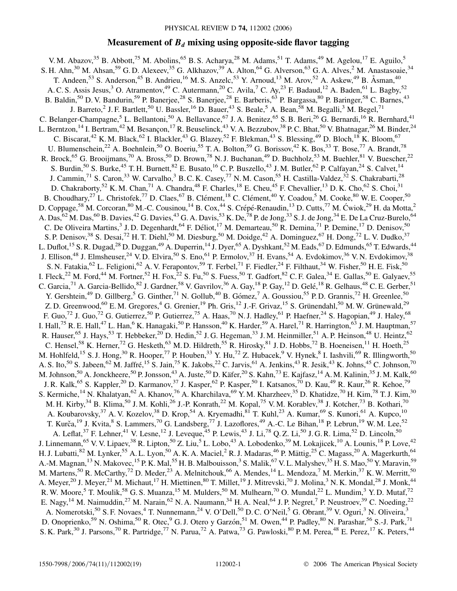# **Measurement of**  $B_d$  **mixing using opposite-side flavor tagging**

V. M. Abazov,  $35$  B. Abbott,  $75$  M. Abolins,  $65$  B. S. Acharya,  $28$  M. Adams,  $51$  T. Adams,  $49$  M. Agelou,  $17$  E. Aguilo,  $5$ S. H. Ahn,<sup>30</sup> M. Ahsan,<sup>59</sup> G. D. Alexeev,<sup>35</sup> G. Alkhazov,<sup>39</sup> A. Alton,<sup>64</sup> G. Alverson,<sup>63</sup> G. A. Alves,<sup>2</sup> M. Anastasoaie,<sup>34</sup> T. Andeen,<sup>53</sup> S. Anderson,<sup>45</sup> B. Andrieu,<sup>16</sup> M. S. Anzelc,<sup>53</sup> Y. Arnoud,<sup>13</sup> M. Arov,<sup>52</sup> A. Askew,<sup>49</sup> B. Åsman,<sup>40</sup> A. C. S. Assis Jesus,<sup>3</sup> O. Atramentov,<sup>49</sup> C. Autermann,<sup>20</sup> C. Avila,<sup>7</sup> C. Ay,<sup>23</sup> F. Badaud,<sup>12</sup> A. Baden,<sup>61</sup> L. Bagby,<sup>52</sup> B. Baldin,<sup>50</sup> D. V. Bandurin,<sup>59</sup> P. Banerjee,<sup>28</sup> S. Banerjee,<sup>28</sup> E. Barberis,<sup>63</sup> P. Bargassa,<sup>80</sup> P. Baringer,<sup>58</sup> C. Barnes,<sup>43</sup> J. Barreto,<sup>2</sup> J. F. Bartlett,<sup>50</sup> U. Bassler,<sup>16</sup> D. Bauer,<sup>43</sup> S. Beale,<sup>5</sup> A. Bean,<sup>58</sup> M. Begalli,<sup>3</sup> M. Begel,<sup>71</sup> C. Belanger-Champagne,<sup>5</sup> L. Bellantoni,<sup>50</sup> A. Bellavance,<sup>67</sup> J. A. Benitez,<sup>65</sup> S. B. Beri,<sup>26</sup> G. Bernardi,<sup>16</sup> R. Bernhard,<sup>41</sup> L. Berntzon, <sup>14</sup> I. Bertram, <sup>42</sup> M. Besançon, <sup>17</sup> R. Beuselinck, <sup>43</sup> V. A. Bezzubov, <sup>38</sup> P. C. Bhat, <sup>50</sup> V. Bhatnagar, <sup>26</sup> M. Binder, <sup>24</sup> C. Biscarat,<sup>42</sup> K. M. Black,<sup>62</sup> I. Blackler,<sup>43</sup> G. Blazey,<sup>52</sup> F. Blekman,<sup>43</sup> S. Blessing,<sup>49</sup> D. Bloch,<sup>18</sup> K. Bloom,<sup>67</sup> U. Blumenschein,<sup>22</sup> A. Boehnlein,<sup>50</sup> O. Boeriu,<sup>55</sup> T. A. Bolton,<sup>59</sup> G. Borissov,<sup>42</sup> K. Bos,<sup>33</sup> T. Bose,<sup>77</sup> A. Brandt,<sup>78</sup> R. Brock,<sup>65</sup> G. Brooijmans,<sup>70</sup> A. Bross,<sup>50</sup> D. Brown,<sup>78</sup> N. J. Buchanan,<sup>49</sup> D. Buchholz,<sup>53</sup> M. Buehler,<sup>81</sup> V. Buescher,<sup>22</sup> S. Burdin,<sup>50</sup> S. Burke,<sup>45</sup> T. H. Burnett,<sup>82</sup> E. Busato,<sup>16</sup> C. P. Buszello,<sup>43</sup> J. M. Butler,<sup>62</sup> P. Calfayan,<sup>24</sup> S. Calvet,<sup>14</sup> J. Cammin,<sup>71</sup> S. Caron,<sup>33</sup> W. Carvalho,<sup>3</sup> B. C. K. Casey,<sup>77</sup> N. M. Cason,<sup>55</sup> H. Castilla-Valdez,<sup>32</sup> S. Chakrabarti,<sup>28</sup> D. Chakraborty,<sup>52</sup> K. M. Chan,<sup>71</sup> A. Chandra,<sup>48</sup> F. Charles,<sup>18</sup> E. Cheu,<sup>45</sup> F. Chevallier,<sup>13</sup> D. K. Cho,<sup>62</sup> S. Choi,<sup>31</sup> B. Choudhary,<sup>27</sup> L. Christofek,<sup>77</sup> D. Claes,<sup>67</sup> B. Clément,<sup>18</sup> C. Clément,<sup>40</sup> Y. Coadou,<sup>5</sup> M. Cooke,<sup>80</sup> W. E. Cooper,<sup>50</sup> D. Coppage,<sup>58</sup> M. Corcoran,<sup>80</sup> M.-C. Cousinou,<sup>14</sup> B. Cox,<sup>44</sup> S. Crépé-Renaudin,<sup>13</sup> D. Cutts,<sup>77</sup> M. Ćwiok,<sup>29</sup> H. da Motta,<sup>2</sup> A. Das,  $^{62}$  M. Das,  $^{60}$  B. Davies,  $^{42}$  G. Davies,  $^{43}$  G. A. Davis,  $^{53}$  K. De,  $^{78}$  P. de Jong,  $^{33}$  S. J. de Jong,  $^{34}$  E. De La Cruz-Burelo,  $^{64}$ C. De Oliveira Martins,<sup>3</sup> J. D. Degenhardt,<sup>64</sup> F. Déliot,<sup>17</sup> M. Demarteau,<sup>50</sup> R. Demina,<sup>71</sup> P. Demine,<sup>17</sup> D. Denisov,<sup>50</sup> S. P. Denisov,<sup>38</sup> S. Desai,<sup>72</sup> H. T. Diehl,<sup>50</sup> M. Diesburg,<sup>50</sup> M. Doidge,<sup>42</sup> A. Dominguez,<sup>67</sup> H. Dong,<sup>72</sup> L. V. Dudko,<sup>37</sup> L. Duflot,<sup>15</sup> S. R. Dugad,<sup>28</sup> D. Duggan,<sup>49</sup> A. Duperrin,<sup>14</sup> J. Dyer,<sup>65</sup> A. Dyshkant,<sup>52</sup> M. Eads,<sup>67</sup> D. Edmunds,<sup>65</sup> T. Edwards,<sup>44</sup> J. Ellison,<sup>48</sup> J. Elmsheuser,<sup>24</sup> V. D. Elvira,<sup>50</sup> S. Eno,<sup>61</sup> P. Ermolov,<sup>37</sup> H. Evans,<sup>54</sup> A. Evdokimov,<sup>36</sup> V. N. Evdokimov,<sup>38</sup> S. N. Fatakia,  $^{62}$  L. Feligioni,  $^{62}$  A. V. Ferapontov,  $^{59}$  T. Ferbel,  $^{71}$  F. Fiedler,  $^{24}$  F. Filthaut,  $^{34}$  W. Fisher,  $^{50}$  H. E. Fisk,  $^{50}$ I. Fleck,<sup>22</sup> M. Ford,<sup>44</sup> M. Fortner,<sup>52</sup> H. Fox,<sup>22</sup> S. Fu,<sup>50</sup> S. Fuess,<sup>50</sup> T. Gadfort,<sup>82</sup> C. F. Galea,<sup>34</sup> E. Gallas,<sup>50</sup> E. Galyaev,<sup>55</sup> C. Garcia,  $^{71}$  A. Garcia-Bellido,  $^{82}$  J. Gardner,  $^{58}$  V. Gavrilov,  $^{36}$  A. Gay,  $^{18}$  P. Gay,  $^{12}$  D. Gelé,  $^{18}$  R. Gelhaus,  $^{48}$  C. E. Gerber,  $^{51}$ Y. Gershtein,<sup>49</sup> D. Gillberg,<sup>5</sup> G. Ginther,<sup>71</sup> N. Gollub,<sup>40</sup> B. Gómez,<sup>7</sup> A. Goussiou,<sup>55</sup> P. D. Grannis,<sup>72</sup> H. Greenlee,<sup>50</sup> Z. D. Greenwood,<sup>60</sup> E. M. Gregores,<sup>4</sup> G. Grenier,<sup>19</sup> Ph. Gris,<sup>12</sup> J.-F. Grivaz,<sup>15</sup> S. Grünendahl,<sup>50</sup> M. W. Grünewald,<sup>29</sup> F. Guo,<sup>72</sup> J. Guo,<sup>72</sup> G. Gutierrez,<sup>50</sup> P. Gutierrez,<sup>75</sup> A. Haas,<sup>70</sup> N. J. Hadley,<sup>61</sup> P. Haefner,<sup>24</sup> S. Hagopian,<sup>49</sup> J. Haley,<sup>68</sup> I. Hall,<sup>75</sup> R. E. Hall,<sup>47</sup> L. Han,<sup>6</sup> K. Hanagaki,<sup>50</sup> P. Hansson,<sup>40</sup> K. Harder,<sup>59</sup> A. Harel,<sup>71</sup> R. Harrington,<sup>63</sup> J. M. Hauptman,<sup>57</sup> R. Hauser,<sup>65</sup> J. Hays,<sup>53</sup> T. Hebbeker,<sup>20</sup> D. Hedin,<sup>52</sup> J. G. Hegeman,<sup>33</sup> J. M. Heinmiller,<sup>51</sup> A. P. Heinson,<sup>48</sup> U. Heintz,<sup>62</sup> C. Hensel,<sup>58</sup> K. Herner,<sup>72</sup> G. Hesketh,<sup>63</sup> M. D. Hildreth,<sup>55</sup> R. Hirosky,<sup>81</sup> J. D. Hobbs,<sup>72</sup> B. Hoeneisen,<sup>11</sup> H. Hoeth,<sup>25</sup> M. Hohlfeld,<sup>15</sup> S. J. Hong,<sup>30</sup> R. Hooper,<sup>77</sup> P. Houben,<sup>33</sup> Y. Hu,<sup>72</sup> Z. Hubacek,<sup>9</sup> V. Hynek,<sup>8</sup> I. Iashvili,<sup>69</sup> R. Illingworth,<sup>50</sup> A. S. Ito,<sup>50</sup> S. Jabeen,<sup>62</sup> M. Jaffré,<sup>15</sup> S. Jain,<sup>75</sup> K. Jakobs,<sup>22</sup> C. Jarvis,<sup>61</sup> A. Jenkins,<sup>43</sup> R. Jesik,<sup>43</sup> K. Johns,<sup>45</sup> C. Johnson,<sup>70</sup> M. Johnson,<sup>50</sup> A. Jonckheere,<sup>50</sup> P. Jonsson,<sup>43</sup> A. Juste,<sup>50</sup> D. Käfer,<sup>20</sup> S. Kahn,<sup>73</sup> E. Kajfasz,<sup>14</sup> A. M. Kalinin,<sup>35</sup> J. M. Kalk,<sup>60</sup> J. R. Kalk,<sup>65</sup> S. Kappler,<sup>20</sup> D. Karmanov,<sup>37</sup> J. Kasper,<sup>62</sup> P. Kasper,<sup>50</sup> I. Katsanos,<sup>70</sup> D. Kau,<sup>49</sup> R. Kaur,<sup>26</sup> R. Kehoe,<sup>79</sup> S. Kermiche,<sup>14</sup> N. Khalatyan,<sup>62</sup> A. Khanov,<sup>76</sup> A. Kharchilava,<sup>69</sup> Y. M. Kharzheev,<sup>35</sup> D. Khatidze,<sup>70</sup> H. Kim,<sup>78</sup> T. J. Kim,<sup>30</sup> M. H. Kirby,<sup>34</sup> B. Klima,<sup>50</sup> J. M. Kohli,<sup>26</sup> J.-P. Konrath,<sup>22</sup> M. Kopal,<sup>75</sup> V. M. Korablev,<sup>38</sup> J. Kotcher,<sup>73</sup> B. Kothari,<sup>70</sup> A. Koubarovsky,<sup>37</sup> A. V. Kozelov,<sup>38</sup> D. Krop,<sup>54</sup> A. Kryemadhi,<sup>81</sup> T. Kuhl,<sup>23</sup> A. Kumar,<sup>69</sup> S. Kunori,<sup>61</sup> A. Kupco,<sup>10</sup> T. Kurča,<sup>19</sup> J. Kvita,<sup>8</sup> S. Lammers,<sup>70</sup> G. Landsberg,<sup>77</sup> J. Lazoflores,<sup>49</sup> A.-C. Le Bihan,<sup>18</sup> P. Lebrun,<sup>19</sup> W. M. Lee,<sup>52</sup> A. Leflat,  $37$  F. Lehner,  $41$  V. Lesne,  $12$  J. Leveque,  $45$  P. Lewis,  $43$  J. Li,  $78$  Q. Z. Li,  $50$  J. G. R. Lima,  $52$  D. Lincoln,  $50$ J. Linnemann,<sup>65</sup> V. V. Lipaev,<sup>38</sup> R. Lipton,<sup>50</sup> Z. Liu,<sup>5</sup> L. Lobo,<sup>43</sup> A. Lobodenko,<sup>39</sup> M. Lokajicek,<sup>10</sup> A. Lounis,<sup>18</sup> P. Love,<sup>42</sup> H. J. Lubatti,<sup>82</sup> M. Lynker,<sup>55</sup> A. L. Lyon,<sup>50</sup> A. K. A. Maciel,<sup>2</sup> R. J. Madaras,<sup>46</sup> P. Mättig,<sup>25</sup> C. Magass,<sup>20</sup> A. Magerkurth,<sup>64</sup> A.-M. Magnan,<sup>13</sup> N. Makovec,<sup>15</sup> P. K. Mal,<sup>55</sup> H. B. Malbouisson,<sup>3</sup> S. Malik,<sup>67</sup> V. L. Malyshev,<sup>35</sup> H. S. Mao,<sup>50</sup> Y. Maravin,<sup>59</sup> M. Martens,<sup>50</sup> R. McCarthy,<sup>72</sup> D. Meder,<sup>23</sup> A. Melnitchouk,<sup>66</sup> A. Mendes,<sup>14</sup> L. Mendoza,<sup>7</sup> M. Merkin,<sup>37</sup> K. W. Merritt,<sup>50</sup> A. Meyer,  $^{20}$  J. Meyer,  $^{21}$  M. Michaut,  $^{17}$  H. Miettinen,  $^{80}$  T. Millet,  $^{19}$  J. Mitrevski,  $^{70}$  J. Molina,  $^{3}$  N. K. Mondal,  $^{28}$  J. Monk,  $^{44}$ R. W. Moore,<sup>5</sup> T. Moulik,<sup>58</sup> G. S. Muanza,<sup>15</sup> M. Mulders,<sup>50</sup> M. Mulhearn,<sup>70</sup> O. Mundal,<sup>22</sup> L. Mundim,<sup>3</sup> Y. D. Mutaf,<sup>72</sup> E. Nagy, <sup>14</sup> M. Naimuddin, <sup>27</sup> M. Narain, <sup>62</sup> N. A. Naumann, <sup>34</sup> H. A. Neal, <sup>64</sup> J. P. Negret, <sup>7</sup> P. Neustroev, <sup>39</sup> C. Noeding, <sup>22</sup> A. Nomerotski,<sup>50</sup> S. F. Novaes,<sup>4</sup> T. Nunnemann,<sup>24</sup> V. O'Dell,<sup>50</sup> D. C. O'Neil,<sup>5</sup> G. Obrant,<sup>39</sup> V. Oguri,<sup>3</sup> N. Oliveira,<sup>3</sup> D. Onoprienko,<sup>59</sup> N. Oshima,<sup>50</sup> R. Otec,<sup>9</sup> G. J. Otero y Garzón,<sup>51</sup> M. Owen,<sup>44</sup> P. Padley,<sup>80</sup> N. Parashar,<sup>56</sup> S.-J. Park,<sup>71</sup> S. K. Park,<sup>30</sup> J. Parsons,<sup>70</sup> R. Partridge,<sup>77</sup> N. Parua,<sup>72</sup> A. Patwa,<sup>73</sup> G. Pawloski,<sup>80</sup> P. M. Perea,<sup>48</sup> E. Perez,<sup>17</sup> K. Peters,<sup>44</sup>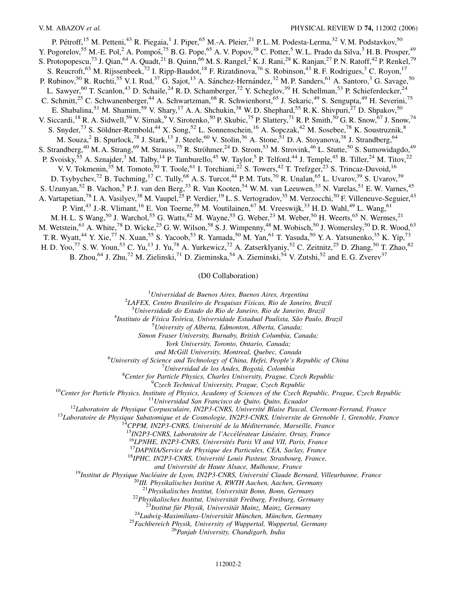P. Pétroff,<sup>15</sup> M. Petteni,<sup>43</sup> R. Piegaia,<sup>1</sup> J. Piper,<sup>65</sup> M.-A. Pleier,<sup>21</sup> P.L.M. Podesta-Lerma,<sup>32</sup> V.M. Podstavkov,<sup>50</sup> Y. Pogorelov,<sup>55</sup> M.-E. Pol,<sup>2</sup> A. Pompoš,<sup>75</sup> B.G. Pope,<sup>65</sup> A.V. Popov,<sup>38</sup> C. Potter,<sup>5</sup> W.L. Prado da Silva,<sup>3</sup> H.B. Prosper,<sup>49</sup> S. Protopopescu,<sup>73</sup> J. Qian,<sup>64</sup> A. Quadt,<sup>21</sup> B. Quinn,<sup>66</sup> M. S. Rangel,<sup>2</sup> K. J. Rani,<sup>28</sup> K. Ranjan,<sup>27</sup> P. N. Ratoff,<sup>42</sup> P. Renkel,<sup>79</sup> S. Reucroft,<sup>63</sup> M. Rijssenbeek,<sup>72</sup> I. Ripp-Baudot,<sup>18</sup> F. Rizatdinova,<sup>76</sup> S. Robinson,<sup>43</sup> R. F. Rodrigues,<sup>3</sup> C. Royon,<sup>17</sup> P. Rubinov,<sup>50</sup> R. Ruchti,<sup>55</sup> V. I. Rud,<sup>37</sup> G. Sajot,<sup>13</sup> A. Sánchez-Hernández,<sup>32</sup> M. P. Sanders,<sup>61</sup> A. Santoro,<sup>3</sup> G. Savage,<sup>50</sup> L. Sawyer,<sup>60</sup> T. Scanlon,<sup>43</sup> D. Schaile,<sup>24</sup> R. D. Schamberger,<sup>72</sup> Y. Scheglov,<sup>39</sup> H. Schellman,<sup>53</sup> P. Schieferdecker,<sup>24</sup> C. Schmitt,<sup>25</sup> C. Schwanenberger,<sup>44</sup> A. Schwartzman,<sup>68</sup> R. Schwienhorst,<sup>65</sup> J. Sekaric,<sup>49</sup> S. Sengupta,<sup>49</sup> H. Severini,<sup>75</sup> E. Shabalina,<sup>51</sup> M. Shamim,<sup>59</sup> V. Shary,<sup>17</sup> A. A. Shchukin,<sup>38</sup> W. D. Shephard,<sup>55</sup> R. K. Shivpuri,<sup>27</sup> D. Shpakov,<sup>50</sup> V. Siccardi,<sup>18</sup> R. A. Sidwell,<sup>59</sup> V. Simak,<sup>9</sup> V. Sirotenko,<sup>50</sup> P. Skubic,<sup>75</sup> P. Slattery,<sup>71</sup> R. P. Smith,<sup>50</sup> G. R. Snow,<sup>67</sup> J. Snow,<sup>74</sup> S. Snyder,<sup>73</sup> S. Söldner-Rembold,<sup>44</sup> X. Song,<sup>52</sup> L. Sonnenschein,<sup>16</sup> A. Sopczak,<sup>42</sup> M. Sosebee,<sup>78</sup> K. Soustruznik,<sup>8</sup> M. Souza,<sup>2</sup> B. Spurlock,<sup>78</sup> J. Stark,<sup>13</sup> J. Steele,<sup>60</sup> V. Stolin,<sup>36</sup> A. Stone,<sup>51</sup> D. A. Stoyanova,<sup>38</sup> J. Strandberg,<sup>64</sup> S. Strandberg,<sup>40</sup> M. A. Strang,<sup>69</sup> M. Strauss,<sup>75</sup> R. Ströhmer,<sup>24</sup> D. Strom,<sup>53</sup> M. Strovink,<sup>46</sup> L. Stutte,<sup>50</sup> S. Sumowidagdo,<sup>49</sup> P. Svoisky,<sup>55</sup> A. Sznajder,<sup>3</sup> M. Talby,<sup>14</sup> P. Tamburello,<sup>45</sup> W. Taylor,<sup>5</sup> P. Telford,<sup>44</sup> J. Temple,<sup>45</sup> B. Tiller,<sup>24</sup> M. Titov,<sup>22</sup> V. V. Tokmenin,<sup>35</sup> M. Tomoto,<sup>50</sup> T. Toole,<sup>61</sup> I. Torchiani,<sup>22</sup> S. Towers,<sup>42</sup> T. Trefzger,<sup>23</sup> S. Trincaz-Duvoid,<sup>16</sup> D. Tsybychev,<sup>72</sup> B. Tuchming,<sup>17</sup> C. Tully,<sup>68</sup> A. S. Turcot,<sup>44</sup> P. M. Tuts,<sup>70</sup> R. Unalan,<sup>65</sup> L. Uvarov,<sup>39</sup> S. Uvarov,<sup>39</sup> S. Uzunyan,<sup>52</sup> B. Vachon,<sup>5</sup> P. J. van den Berg,<sup>33</sup> R. Van Kooten,<sup>54</sup> W. M. van Leeuwen,<sup>33</sup> N. Varelas,<sup>51</sup> E. W. Varnes,<sup>45</sup> A. Vartapetian,<sup>78</sup> I. A. Vasilyev,<sup>38</sup> M. Vaupel,<sup>25</sup> P. Verdier,<sup>19</sup> L. S. Vertogradov,<sup>35</sup> M. Verzocchi,<sup>50</sup> F. Villeneuve-Seguier,<sup>43</sup> P. Vint,<sup>43</sup> J.-R. Vlimant,<sup>16</sup> E. Von Toerne,<sup>59</sup> M. Voutilainen,<sup>67</sup> M. Vreeswijk,<sup>33</sup> H.D. Wahl,<sup>49</sup> L. Wang,<sup>61</sup> M. H. L. S Wang, <sup>50</sup> J. Warchol, <sup>55</sup> G. Watts, <sup>82</sup> M. Wayne, <sup>55</sup> G. Weber, <sup>23</sup> M. Weber, <sup>50</sup> H. Weerts, <sup>65</sup> N. Wermes, <sup>21</sup> M. Wetstein,<sup>61</sup> A. White,<sup>78</sup> D. Wicke,<sup>25</sup> G. W. Wilson,<sup>58</sup> S. J. Wimpenny,<sup>48</sup> M. Wobisch,<sup>50</sup> J. Womersley,<sup>50</sup> D. R. Wood,<sup>63</sup> T. R. Wyatt,<sup>44</sup> Y. Xie,<sup>77</sup> N. Xuan,<sup>55</sup> S. Yacoob,<sup>53</sup> R. Yamada,<sup>50</sup> M. Yan,<sup>61</sup> T. Yasuda,<sup>50</sup> Y. A. Yatsunenko,<sup>35</sup> K. Yip,<sup>73</sup> H. D. Yoo,<sup>77</sup> S. W. Youn,<sup>53</sup> C. Yu,<sup>13</sup> J. Yu,<sup>78</sup> A. Yurkewicz,<sup>72</sup> A. Zatserklyaniy,<sup>52</sup> C. Zeitnitz,<sup>25</sup> D. Zhang,<sup>50</sup> T. Zhao,<sup>82</sup> B. Zhou,<sup>64</sup> J. Zhu,<sup>72</sup> M. Zielinski,<sup>71</sup> D. Zieminska,<sup>54</sup> A. Zieminski,<sup>54</sup> V. Zutshi,<sup>52</sup> and E. G. Zverev<sup>37</sup>

(D0 Collaboration)

1 *Universidad de Buenos Aires, Buenos Aires, Argentina* <sup>2</sup>

*LAFEX, Centro Brasileiro de Pesquisas Fı´sicas, Rio de Janeiro, Brazil* <sup>3</sup>

*Universidade do Estado do Rio de Janeiro, Rio de Janeiro, Brazil* <sup>4</sup>

<sup>4</sup>Instituto de Física Teórica, Universidade Estadual Paulista, São Paulo, Brazil

*University of Alberta, Edmonton, Alberta, Canada;*

*Simon Fraser University, Burnaby, British Columbia, Canada;*

*York University, Toronto, Ontario, Canada;*

*and McGill University, Montreal, Quebec, Canada* <sup>6</sup>

*University of Science and Technology of China, Hefei, People's Republic of China* <sup>7</sup>

*Universidad de los Andes, Bogota´, Colombia* <sup>8</sup>

<sup>8</sup> Center for Particle Physics, Charles University, Prague, Czech Republic <sup>9</sup> Czech Technical University, Prague, Czech Republic

<sup>10</sup>Center for Particle Physics, Institute of Physics, Academy of Sciences of the Czech Republic, Prague, Czech Republic<br><sup>11</sup>Universidad San Francisco de Quito, Quito, Ecuador<br><sup>12</sup>Laboratoire de Physique Corpusculaire, IN

and Université de Haute Alsace, Mulhouse, France<br><sup>19</sup>Institut de Physique Nucléaire de Lyon, IN2P3-CNRS, Université Claude Bernard, Villeurbanne, France<br><sup>20</sup>III. Physikalisches Institut A, RWTH Aachen, Aachen, Germany<br><sup>21</sup>

<sup>22</sup>Physikalisches Institut, Universität Freiburg, Freiburg, Germany<br><sup>23</sup>Institut für Physik, Universität Mainz, Mainz, Germany<br><sup>24</sup>Ludwig-Maximilians-Universität München, München, Germany<br><sup>25</sup>Fachbereich Physik, Universi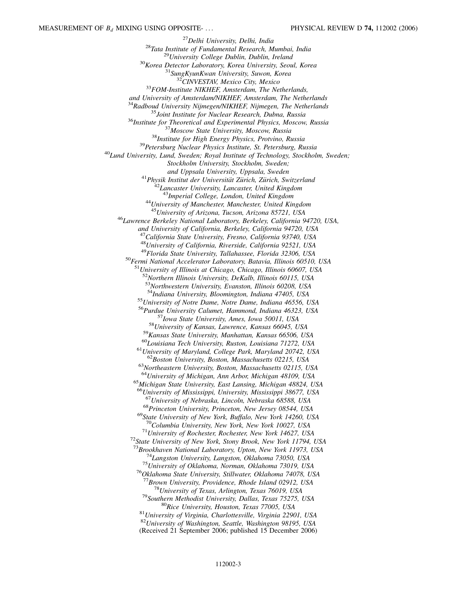<sup>27</sup>Delhi University, Delhi, India<br><sup>28</sup>Tata Institute of Fundamental Research, Mumbai, India<br><sup>29</sup>University College Dublin, Dublin, Ireland<br><sup>30</sup>Korea Detector Laboratory, Korea University, Seoul, Korea<br><sup>31</sup>SungKyunKwan Un *and University of Amsterdam/NIKHEF, Amsterdam, The Netherlands* <sup>35</sup> Joint Institute for Nuclear Research, Dubna, Russia<br><sup>36</sup> Institute for Theoretical and Experimental Physics, Moscow, Russia<br><sup>37</sup> Moscow State University, Moscow, Russia<br><sup>38</sup> Institute for High Energy Physics, Protvin *Stockholm University, Stockholm, Sweden;* <sup>41</sup>Physik Institut der Universität Zürich, Zürich, Switzerland<br><sup>42</sup>Lancaster University, Lancaster, United Kingdom<br><sup>43</sup>Imperial College, London, United Kingdom <sup>43</sup>*Imperial College, London, United Kingdom* <sup>44</sup>*University of Manchester, Manchester, United Kingdom* <sup>45</sup>*University of Arizona, Tucson, Arizona 85721, USA* <sup>46</sup>*Lawrence Berkeley National Laboratory, Berkeley, California 94720, USA, and University of California, Berkeley, California 94720, USA* <sup>47</sup>*California State University, Fresno, California 93740, USA* <sup>48</sup>*University of California, Riverside, California 92521, USA* <sup>50</sup>Fermi National Accelerator Laboratory, Batavia, Illinois 60510, USA <sup>51</sup>*University of Illinois at Chicago, Chicago, Illinois 60607, USA* <sup>52</sup>*Northern Illinois University, DeKalb, Illinois 60115, USA* <sup>53</sup>*Northwestern University, Evanston, Illinois 60208, USA* <sup>55</sup>*University of Notre Dame, Notre Dame, Indiana 46556, USA* <sup>56</sup>*Purdue University Calumet, Hammond, Indiana 46323, USA* <sup>57</sup> Iowa State University, Ames, Iowa 50011, USA<br><sup>58</sup> University of Kansas, Lawrence, Kansas 66045, USA<br><sup>59</sup> Kansas State University, Manhattan, Kansas 66506, USA<br><sup>60</sup> Louisiana Tech University, Ruston, Louisiana 71272, <sup>64</sup>*University of Michigan, Ann Arbor, Michigan 48109, USA* <sup>65</sup>*Michigan State University, East Lansing, Michigan 48824, USA* <sup>66</sup>*University of Mississippi, University, Mississippi 38677, USA* <sup>68</sup>Princeton University, Princeton, New Jersey 08544, USA<br><sup>69</sup>State University of New York, Buffalo, New York 14260, USA<br><sup>70</sup>Columbia University, New York, New York 10027, USA <sup>70</sup>*Columbia University, New York, New York 10027, USA* <sup>71</sup>*University of Rochester, Rochester, New York 14627, USA* <sup>72</sup>*State University of New York, Stony Brook, New York 11794, USA* <sup>73</sup>Brookhaven National Laboratory, Upton, New York 11973, USA<br><sup>74</sup>Langston University, Langston, Oklahoma 73050, USA<br><sup>75</sup>University of Oklahoma, Norman, Oklahoma 73019, USA<br><sup>76</sup>Oklahoma State University, Stillwater, Okla <sup>77</sup>Brown University, Providence, Rhode Island 02912, USA<br><sup>78</sup>University of Texas, Arlington, Texas 76019, USA<br><sup>79</sup>Southern Methodist University, Dallas, Texas 75275, USA<br><sup>80</sup>Rice University, Houston, Texas 77005, USA<br><sup>81</sup> <sup>82</sup>*University of Washington, Seattle, Washington 98195, USA* (Received 21 September 2006; published 15 December 2006)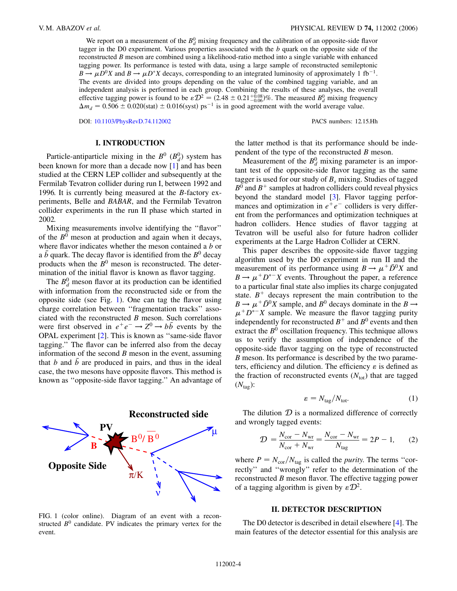We report on a measurement of the  $B_d^0$  mixing frequency and the calibration of an opposite-side flavor tagger in the D0 experiment. Various properties associated with the *b* quark on the opposite side of the reconstructed *B* meson are combined using a likelihood-ratio method into a single variable with enhanced tagging power. Its performance is tested with data, using a large sample of reconstructed semileptonic  $B \to \mu D^0 X$  and  $B \to \mu D^* X$  decays, corresponding to an integrated luminosity of approximately 1 fb<sup>-1</sup>. The events are divided into groups depending on the value of the combined tagging variable, and an independent analysis is performed in each group. Combining the results of these analyses, the overall effective tagging power is found to be  $\epsilon \mathcal{D}^2 = (2.48 \pm 0.21^{+0.08}_{-0.06})\%$ . The measured  $B_d^0$  mixing frequency  $\Delta m_d = 0.506 \pm 0.020$ (stat)  $\pm 0.016$ (syst) ps<sup>-1</sup> is in good agreement with the world average value.

DOI: [10.1103/PhysRevD.74.112002](http://dx.doi.org/10.1103/PhysRevD.74.112002) PACS numbers: 12.15.Hh

### **I. INTRODUCTION**

Particle-antiparticle mixing in the  $B^0$  ( $B_d^0$ ) system has been known for more than a decade now [[1\]](#page-18-0) and has been studied at the CERN LEP collider and subsequently at the Fermilab Tevatron collider during run I, between 1992 and 1996. It is currently being measured at the *B*-factory experiments, Belle and *BABAR*, and the Fermilab Tevatron collider experiments in the run II phase which started in 2002.

Mixing measurements involve identifying the ''flavor'' of the  $B^0$  meson at production and again when it decays, where flavor indicates whether the meson contained a *b* or a  $\bar{b}$  quark. The decay flavor is identified from the  $B^0$  decay products when the  $B^0$  meson is reconstructed. The determination of the initial flavor is known as flavor tagging.

The  $B_d^0$  meson flavor at its production can be identified with information from the reconstructed side or from the opposite side (see Fig. [1](#page-3-0)). One can tag the flavor using charge correlation between ''fragmentation tracks'' associated with the reconstructed *B* meson. Such correlations were first observed in  $e^+e^- \rightarrow Z^0 \rightarrow b\bar{b}$  events by the OPAL experiment [\[2\]](#page-18-1). This is known as ''same-side flavor tagging.'' The flavor can be inferred also from the decay information of the second *B* meson in the event, assuming that  $b$  and  $\overline{b}$  are produced in pairs, and thus in the ideal case, the two mesons have opposite flavors. This method is known as ''opposite-side flavor tagging.'' An advantage of

<span id="page-3-0"></span>

FIG. 1 (color online). Diagram of an event with a reconstructed  $B<sup>0</sup>$  candidate. PV indicates the primary vertex for the event.

the latter method is that its performance should be independent of the type of the reconstructed *B* meson.

Measurement of the  $B_d^0$  mixing parameter is an important test of the opposite-side flavor tagging as the same tagger is used for our study of  $B_s$  mixing. Studies of tagged  $B^0$  and  $B^+$  samples at hadron colliders could reveal physics beyond the standard model [\[3](#page-18-2)]. Flavor tagging performances and optimization in  $e^+e^-$  colliders is very different from the performances and optimization techniques at hadron colliders. Hence studies of flavor tagging at Tevatron will be useful also for future hadron collider experiments at the Large Hadron Collider at CERN.

This paper describes the opposite-side flavor tagging algorithm used by the D0 experiment in run II and the measurement of its performance using  $B \to \mu^+ \bar{D}^0 X$  and  $B \to \mu^+ D^{*-} X$  events. Throughout the paper, a reference to a particular final state also implies its charge conjugated state.  $B^+$  decays represent the main contribution to the  $B \to \mu^+ \bar{D}^0 X$  sample, and  $B^0$  decays dominate in the  $B \to$  $\mu$ <sup>+</sup> $D^*$ <sup>-</sup> $X$  sample. We measure the flavor tagging purity independently for reconstructed  $B^+$  and  $B^0$  events and then extract the  $B<sup>0</sup>$  oscillation frequency. This technique allows us to verify the assumption of independence of the opposite-side flavor tagging on the type of reconstructed *B* meson. Its performance is described by the two parameters, efficiency and dilution. The efficiency  $\varepsilon$  is defined as the fraction of reconstructed events  $(N_{\text{tot}})$  that are tagged  $(N_{\text{tag}}):$ 

$$
\varepsilon = N_{\text{tag}} / N_{\text{tot}}.\tag{1}
$$

<span id="page-3-1"></span>The dilution  $D$  is a normalized difference of correctly and wrongly tagged events:

$$
D = \frac{N_{\text{cor}} - N_{\text{wr}}}{N_{\text{cor}} + N_{\text{wr}}} = \frac{N_{\text{cor}} - N_{\text{wr}}}{N_{\text{tag}}} = 2P - 1,
$$
 (2)

where  $P = N_{\text{cor}}/N_{\text{tag}}$  is called the *purity*. The terms "correctly'' and ''wrongly'' refer to the determination of the reconstructed *B* meson flavor. The effective tagging power of a tagging algorithm is given by  $\epsilon \mathcal{D}^2$ .

### **II. DETECTOR DESCRIPTION**

The D0 detector is described in detail elsewhere [\[4](#page-18-3)]. The main features of the detector essential for this analysis are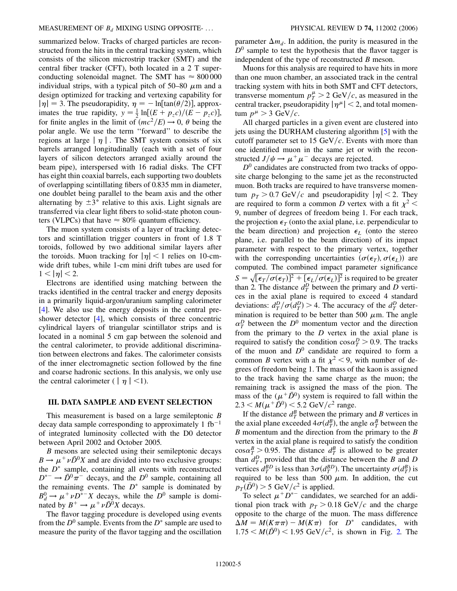summarized below. Tracks of charged particles are reconstructed from the hits in the central tracking system, which consists of the silicon microstrip tracker (SMT) and the central fiber tracker (CFT), both located in a 2 T superconducting solenoidal magnet. The SMT has  $\approx 800\,000$ individual strips, with a typical pitch of 50–80  $\mu$ m and a design optimized for tracking and vertexing capability for  $|\eta| = 3$ . The pseudorapidity,  $\eta = -\ln[\tan(\theta/2)]$ , approximates the true rapidity,  $y = \frac{1}{2} \ln[(E + p_z c)/(E - p_z c)]$ , for finite angles in the limit of  $(mc^2/E) \rightarrow 0$ ,  $\theta$  being the polar angle. We use the term ''forward'' to describe the regions at large  $|\eta|$ . The SMT system consists of six barrels arranged longitudinally (each with a set of four layers of silicon detectors arranged axially around the beam pipe), interspersed with 16 radial disks. The CFT has eight thin coaxial barrels, each supporting two doublets of overlapping scintillating fibers of 0.835 mm in diameter, one doublet being parallel to the beam axis and the other alternating by  $\pm 3^{\circ}$  relative to this axis. Light signals are transferred via clear light fibers to solid-state photon counters (VLPCs) that have  $\approx 80\%$  quantum efficiency.

The muon system consists of a layer of tracking detectors and scintillation trigger counters in front of 1.8 T toroids, followed by two additional similar layers after the toroids. Muon tracking for  $|\eta|$  < 1 relies on 10-cmwide drift tubes, while 1-cm mini drift tubes are used for  $1 < |\eta| < 2$ .

Electrons are identified using matching between the tracks identified in the central tracker and energy deposits in a primarily liquid-argon/uranium sampling calorimeter [\[4\]](#page-18-3). We also use the energy deposits in the central preshower detector [\[4](#page-18-3)], which consists of three concentric cylindrical layers of triangular scintillator strips and is located in a nominal 5 cm gap between the solenoid and the central calorimeter, to provide additional discrimination between electrons and fakes. The calorimeter consists of the inner electromagnetic section followed by the fine and coarse hadronic sections. In this analysis, we only use the central calorimeter  $(|\eta| < 1)$ .

## **III. DATA SAMPLE AND EVENT SELECTION**

This measurement is based on a large semileptonic *B* decay data sample corresponding to approximately 1 fb<sup>-1</sup> of integrated luminosity collected with the D0 detector between April 2002 and October 2005.

*B* mesons are selected using their semileptonic decays  $B \to \mu^+ \nu \bar{D}^0 X$  and are divided into two exclusive groups: the  $D^*$  sample, containing all events with reconstructed  $D^{*-} \rightarrow \overline{D}{}^0 \pi^-$  decays, and the  $D^0$  sample, containing all the remaining events. The  $D^*$  sample is dominated by  $B_d^0 \rightarrow \mu^+ \nu D^{*-} X$  decays, while the *D*<sup>0</sup> sample is dominated by  $B^+ \to \mu^+ \nu \bar{D}^0 X$  decays.

The flavor tagging procedure is developed using events from the  $D^0$  sample. Events from the  $D^*$  sample are used to measure the purity of the flavor tagging and the oscillation parameter  $\Delta m_d$ . In addition, the purity is measured in the  $D<sup>0</sup>$  sample to test the hypothesis that the flavor tagger is independent of the type of reconstructed *B* meson.

Muons for this analysis are required to have hits in more than one muon chamber, an associated track in the central tracking system with hits in both SMT and CFT detectors, transverse momentum  $p_T^{\mu} > 2$  GeV/c, as measured in the central tracker, pseudorapidity  $|\eta^{\mu}| < 2$ , and total momentum  $p^{\mu} > 3$  GeV/c.

All charged particles in a given event are clustered into jets using the DURHAM clustering algorithm [\[5](#page-18-4)] with the cutoff parameter set to 15 GeV/ $c$ . Events with more than one identified muon in the same jet or with the reconstructed  $J/\psi \rightarrow \mu^+ \mu^-$  decays are rejected.

 $D<sup>0</sup>$  candidates are constructed from two tracks of opposite charge belonging to the same jet as the reconstructed muon. Both tracks are required to have transverse momen- $\tan p_T > 0.7 \text{ GeV}/c$  and pseudorapidity  $|\eta| < 2$ . They are required to form a common *D* vertex with a fit  $\chi^2$  < 9, number of degrees of freedom being 1. For each track, the projection  $\epsilon_T$  (onto the axial plane, i.e. perpendicular to the beam direction) and projection  $\epsilon_L$  (onto the stereo plane, i.e. parallel to the beam direction) of its impact parameter with respect to the primary vertex, together with the corresponding uncertainties  $(\sigma(\epsilon_T), \sigma(\epsilon_L))$  are computed. The combined impact parameter significance  $S = \sqrt{\epsilon_T/\sigma(\epsilon_T)}^2 + \sqrt{\epsilon_L/\sigma(\epsilon_L)}^2$  is required to be greater than 2. The distance  $d_T^D$  between the primary and *D* vertices in the axial plane is required to exceed 4 standard deviations:  $d_T^D / \sigma(d_T^D) > 4$ . The accuracy of the  $d_T^D$  determination is required to be better than 500  $\mu$ m. The angle  $\alpha_T^D$  between the  $D^0$  momentum vector and the direction from the primary to the *D* vertex in the axial plane is required to satisfy the condition  $cos \alpha_T^D > 0.9$ . The tracks of the muon and  $D^0$  candidate are required to form a common *B* vertex with a fit  $\chi^2$  < 9, with number of degrees of freedom being 1. The mass of the kaon is assigned to the track having the same charge as the muon; the remaining track is assigned the mass of the pion. The mass of the  $(\mu^+ \bar{D}^0)$  system is required to fall within the  $2.3 < M(\mu^+ \bar{D}^0) < 5.2 \text{ GeV}/c^2 \text{ range.}$ 

If the distance  $d_T^B$  between the primary and *B* vertices in the axial plane exceeded  $4\sigma(d_T^B)$ , the angle  $\alpha_T^B$  between the *B* momentum and the direction from the primary to the *B* vertex in the axial plane is required to satisfy the condition  $\cos \alpha_T^B > 0.95$ . The distance  $d_T^B$  is allowed to be greater than  $d_T^D$ , provided that the distance between the *B* and *D* vertices  $d_T^{BD}$  is less than  $3\sigma(d_T^{BD})$ . The uncertainty  $\sigma(d_T^B)$  is required to be less than 500  $\mu$ m. In addition, the cut  $p_T(\bar{D}^0) > 5$  GeV/ $c^2$  is applied.

To select  $\mu^+ D^{*-}$  candidates, we searched for an additional pion track with  $p_T > 0.18 \text{ GeV}/c$  and the charge opposite to the charge of the muon. The mass difference  $\Delta M = M(K\pi\pi) - M(K\pi)$  for *D*<sup>\*</sup> candidates, with  $1.75 < M(\bar{D}^0) < 1.95$  GeV/ $c^2$ , is shown in Fig. [2.](#page-5-0) The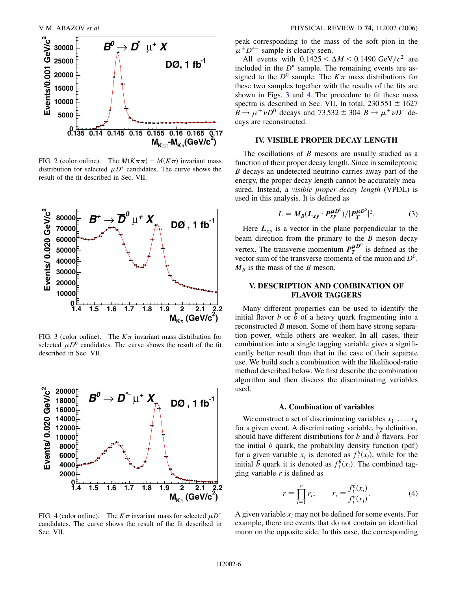<span id="page-5-0"></span>

FIG. 2 (color online). The  $M(K\pi\pi) - M(K\pi)$  invariant mass distribution for selected  $\mu D^*$  candidates. The curve shows the result of the fit described in Sec. VII.

<span id="page-5-1"></span>

FIG. 3 (color online). The  $K\pi$  invariant mass distribution for selected  $\mu D^0$  candidates. The curve shows the result of the fit described in Sec. VII.

<span id="page-5-2"></span>

FIG. 4 (color online). The  $K\pi$  invariant mass for selected  $\mu D^*$ candidates. The curve shows the result of the fit described in Sec. VII.

peak corresponding to the mass of the soft pion in the  $\mu^+ D^{*-}$  sample is clearly seen.

All events with  $0.1425 < \Delta M < 0.1490 \text{ GeV}/c^2$  are included in the  $D^*$  sample. The remaining events are assigned to the  $D^0$  sample. The  $K\pi$  mass distributions for these two samples together with the results of the fits are shown in Figs. [3](#page-5-1) and [4.](#page-5-2) The procedure to fit these mass spectra is described in Sec. VII. In total,  $230551 \pm 1627$  $B \rightarrow \mu^+ \nu \bar{D}^0$  decays and 73 532  $\pm$  304  $B \rightarrow \mu^+ \nu \bar{D}^*$  decays are reconstructed.

## **IV. VISIBLE PROPER DECAY LENGTH**

The oscillations of *B* mesons are usually studied as a function of their proper decay length. Since in semileptonic *B* decays an undetected neutrino carries away part of the energy, the proper decay length cannot be accurately measured. Instead, a *visible proper decay length* (VPDL) is used in this analysis. It is defined as

$$
L = M_B (L_{xy} \cdot P_{xy}^{\mu D^0}) / |P_T^{\mu D^0}|^2. \tag{3}
$$

<span id="page-5-4"></span>Here  $L_{xy}$  is a vector in the plane perpendicular to the beam direction from the primary to the *B* meson decay vertex. The transverse momentum  $P_T^{\mu}$ <sup>*D*°</sup> is defined as the vector sum of the transverse momenta of the muon and *D*0.  $M_B$  is the mass of the *B* meson.

## **V. DESCRIPTION AND COMBINATION OF FLAVOR TAGGERS**

Many different properties can be used to identify the initial flavor *b* or  $\bar{b}$  of a heavy quark fragmenting into a reconstructed *B* meson. Some of them have strong separation power, while others are weaker. In all cases, their combination into a single tagging variable gives a significantly better result than that in the case of their separate use. We build such a combination with the likelihood-ratio method described below. We first describe the combination algorithm and then discuss the discriminating variables used.

### **A. Combination of variables**

We construct a set of discriminating variables  $x_1, \ldots, x_n$ for a given event. A discriminating variable, by definition, should have different distributions for *b* and  $\overline{b}$  flavors. For the initial *b* quark, the probability density function (pdf) for a given variable  $x_i$  is denoted as  $f_i^b(x_i)$ , while for the initial  $\bar{b}$  quark it is denoted as  $f_i^{\bar{b}}(x_i)$ . The combined tagging variable *r* is defined as

$$
r = \prod_{i=1}^{n} r_i; \qquad r_i = \frac{f_i^{\bar{b}}(x_i)}{f_i^{\bar{b}}(x_i)}.
$$
 (4)

<span id="page-5-3"></span>A given variable *xi* may not be defined for some events. For example, there are events that do not contain an identified muon on the opposite side. In this case, the corresponding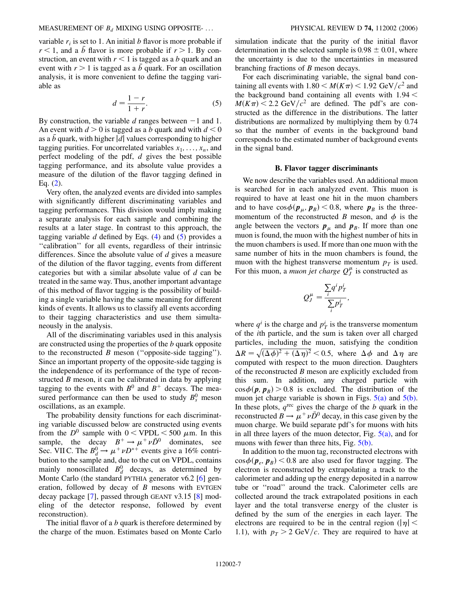variable  $r_i$  is set to 1. An initial  $b$  flavor is more probable if  $r < 1$ , and a  $\bar{b}$  flavor is more probable if  $r > 1$ . By construction, an event with  $r < 1$  is tagged as a *b* quark and an event with  $r > 1$  is tagged as a  $\overline{b}$  quark. For an oscillation analysis, it is more convenient to define the tagging variable as

$$
d = \frac{1 - r}{1 + r}.\tag{5}
$$

<span id="page-6-0"></span>By construction, the variable  $d$  ranges between  $-1$  and 1. An event with *d >* 0 is tagged as a *b* quark and with *d <* 0 as a  $\bar{b}$  quark, with higher  $\vert d \vert$  values corresponding to higher tagging purities. For uncorrelated variables  $x_1, \ldots, x_n$ , and perfect modeling of the pdf, *d* gives the best possible tagging performance, and its absolute value provides a measure of the dilution of the flavor tagging defined in Eq. ([2\)](#page-3-1).

Very often, the analyzed events are divided into samples with significantly different discriminating variables and tagging performances. This division would imply making a separate analysis for each sample and combining the results at a later stage. In contrast to this approach, the tagging variable  $d$  defined by Eqs.  $(4)$  $(4)$  and  $(5)$  $(5)$  $(5)$  provides a ''calibration'' for all events, regardless of their intrinsic differences. Since the absolute value of *d* gives a measure of the dilution of the flavor tagging, events from different categories but with a similar absolute value of *d* can be treated in the same way. Thus, another important advantage of this method of flavor tagging is the possibility of building a single variable having the same meaning for different kinds of events. It allows us to classify all events according to their tagging characteristics and use them simultaneously in the analysis.

All of the discriminating variables used in this analysis are constructed using the properties of the *b* quark opposite to the reconstructed *B* meson (''opposite-side tagging''). Since an important property of the opposite-side tagging is the independence of its performance of the type of reconstructed *B* meson, it can be calibrated in data by applying tagging to the events with  $B^0$  and  $B^+$  decays. The measured performance can then be used to study  $B_s^0$  meson oscillations, as an example.

The probability density functions for each discriminating variable discussed below are constructed using events from the  $D^0$  sample with  $0 < \text{VPDL} < 500 \mu \text{m}$ . In this sample, the decay  $B^+ \to \mu^+ \nu \bar{D}^0$  dominates, see Sec. VII C. The  $B_d^0 \rightarrow \mu^+ \nu D^{*+}$  events give a 16% contribution to the sample and, due to the cut on VPDL, contains mainly nonoscillated  $B_d^0$  decays, as determined by Monte Carlo (the standard PYTHIA generator v6.2 [[6\]](#page-18-5) generation, followed by decay of *B* mesons with EVTGEN decay package [[7\]](#page-18-6), passed through GEANT v3.15 [\[8](#page-18-7)] modeling of the detector response, followed by event reconstruction).

The initial flavor of a *b* quark is therefore determined by the charge of the muon. Estimates based on Monte Carlo simulation indicate that the purity of the initial flavor determination in the selected sample is  $0.98 \pm 0.01$ , where the uncertainty is due to the uncertainties in measured branching fractions of *B* meson decays.

For each discriminating variable, the signal band containing all events with  $1.80 \le M(K\pi) \le 1.92 \text{ GeV}/c^2$  and the background band containing all events with 1*:*94 *<*  $M(K\pi)$  < 2.2 GeV/ $c^2$  are defined. The pdf's are constructed as the difference in the distributions. The latter distributions are normalized by multiplying them by 0.74 so that the number of events in the background band corresponds to the estimated number of background events in the signal band.

### **B. Flavor tagger discriminants**

We now describe the variables used. An additional muon is searched for in each analyzed event. This muon is required to have at least one hit in the muon chambers and to have  $\cos \phi(\mathbf{p}_{\mu}, \mathbf{p}_{B}) < 0.8$ , where  $\mathbf{p}_{B}$  is the threemomentum of the reconstructed *B* meson, and  $\phi$  is the angle between the vectors  $p_{\mu}$  and  $p_{B}$ . If more than one muon is found, the muon with the highest number of hits in the muon chambers is used. If more than one muon with the same number of hits in the muon chambers is found, the muon with the highest transverse momentum  $p<sub>T</sub>$  is used. For this muon, a *muon jet charge*  $Q_J^{\mu}$  is constructed as

$$
Q_J^{\mu} = \frac{\sum_i q^i p_T^i}{\sum_i p_T^i},
$$

where  $q^i$  is the charge and  $p^i$  is the transverse momentum of the *i*th particle, and the sum is taken over all charged particles, including the muon, satisfying the condition  $\Delta R = \sqrt{(\Delta \phi)^2 + (\Delta \eta)^2} < 0.5$ , where  $\Delta \phi$  and  $\Delta \eta$  are computed with respect to the muon direction. Daughters of the reconstructed *B* meson are explicitly excluded from this sum. In addition, any charged particle with  $cos \phi(p, p) > 0.8$  is excluded. The distribution of the muon jet charge variable is shown in Figs.  $5(a)$  and  $5(b)$ . In these plots,  $q^{\text{rec}}$  gives the charge of the *b* quark in the reconstructed  $B \to \mu^+ \nu \bar{D}^0$  decay, in this case given by the muon charge. We build separate pdf's for muons with hits in all three layers of the muon detector, Fig.  $5(a)$ , and for muons with fewer than three hits, Fig.  $5(b)$ .

In addition to the muon tag, reconstructed electrons with  $cos \phi(\mathbf{p}_e, \mathbf{p}_B)$  < 0.8 are also used for flavor tagging. The electron is reconstructed by extrapolating a track to the calorimeter and adding up the energy deposited in a narrow tube or ''road'' around the track. Calorimeter cells are collected around the track extrapolated positions in each layer and the total transverse energy of the cluster is defined by the sum of the energies in each layer. The electrons are required to be in the central region ( $|\eta|$  < 1.1), with  $p_T > 2$  GeV/c. They are required to have at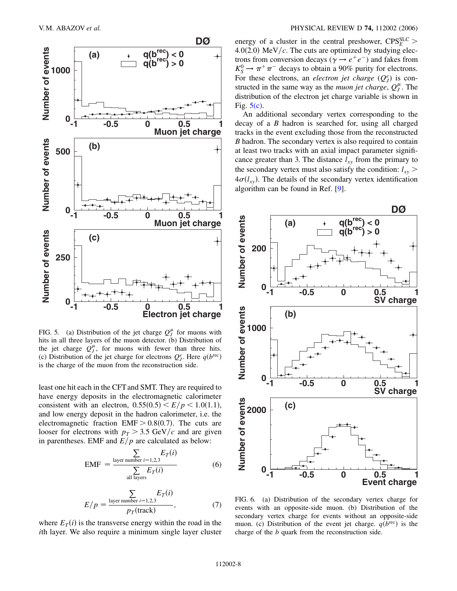

<span id="page-7-0"></span>FIG. 5. (a) Distribution of the jet charge  $Q_J^{\mu}$  for muons with hits in all three layers of the muon detector. (b) Distribution of the jet charge  $Q_J^{\mu}$ , for muons with fewer than three hits. (c) Distribution of the jet charge for electrons  $Q_f^e$ . Here  $q(b^{\text{rec}})$ is the charge of the muon from the reconstruction side.

least one hit each in the CFTand SMT. They are required to have energy deposits in the electromagnetic calorimeter consistent with an electron,  $0.55(0.5) \le E/p \le 1.0(1.1)$ , and low energy deposit in the hadron calorimeter, i.e. the electromagnetic fraction  $EMF > 0.8(0.7)$ . The cuts are looser for electrons with  $p_T > 3.5$  GeV/c and are given in parentheses. EMF and  $E/p$  are calculated as below:

$$
EMF = \frac{\sum_{\text{layer number } i=1,2,3} E_T(i)}{\sum_{\text{all layers}} E_T(i)}
$$
(6)

$$
E/p = \frac{\sum_{\text{layer number } i=1,2,3} E_T(i)}{p_T(\text{track})},\tag{7}
$$

where  $E_T(i)$  is the transverse energy within the road in the *i*th layer. We also require a minimum single layer cluster

energy of a cluster in the central preshower,  $CPS<sub>E</sub><sup>SLC</sup>$  > 4.0(2.0)  $\text{MeV}/c$ . The cuts are optimized by studying electrons from conversion decays ( $\gamma \rightarrow e^+e^-$ ) and fakes from  $K_S^0 \rightarrow \pi^+ \pi^-$  decays to obtain a 90% purity for electrons. For these electrons, an *electron jet charge*  $(Q_J^e)$  is constructed in the same way as the *muon jet charge*,  $Q_J^{\mu}$ . The distribution of the electron jet charge variable is shown in Fig.  $5(c)$ .

An additional secondary vertex corresponding to the decay of a *B* hadron is searched for, using all charged tracks in the event excluding those from the reconstructed *B* hadron. The secondary vertex is also required to contain at least two tracks with an axial impact parameter significance greater than 3. The distance  $l_{xy}$  from the primary to the secondary vertex must also satisfy the condition:  $l_{xy}$  >  $4\sigma(l_{xy})$ . The details of the secondary vertex identification algorithm can be found in Ref. [\[9\]](#page-18-8).



<span id="page-7-1"></span>FIG. 6. (a) Distribution of the secondary vertex charge for events with an opposite-side muon. (b) Distribution of the secondary vertex charge for events without an opposite-side muon. (c) Distribution of the event jet charge.  $q(b^{rec})$  is the charge of the *b* quark from the reconstruction side.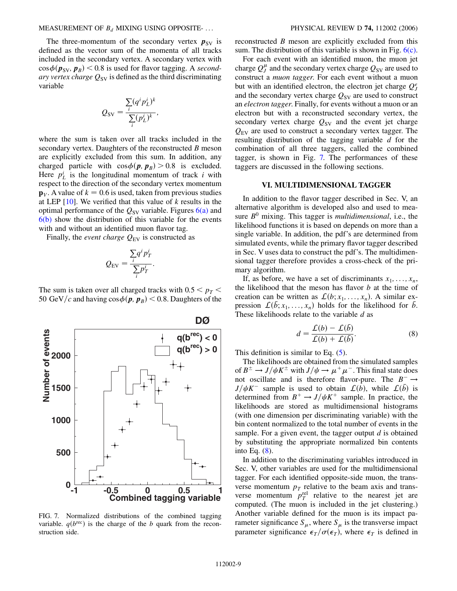### MEASUREMENT OF *Bd* MIXING USING OPPOSITE- ... PHYSICAL REVIEW D **74,** 112002 (2006)

The three-momentum of the secondary vertex  $p_{SV}$  is defined as the vector sum of the momenta of all tracks included in the secondary vertex. A secondary vertex with  $\cos \phi(\mathbf{p}_{SV}, \mathbf{p}_B)$  < 0.8 is used for flavor tagging. A *secondary vertex charge*  $Q_{SV}$  is defined as the third discriminating variable

$$
Q_{SV} = \frac{\sum_{i} (q^i p_L^i)^k}{\sum_{i} (p_L^i)^k},
$$

where the sum is taken over all tracks included in the secondary vertex. Daughters of the reconstructed *B* meson are explicitly excluded from this sum. In addition, any charged particle with  $\cos \phi(\mathbf{p}, \mathbf{p}_B) > 0.8$  is excluded. Here  $p_L^i$  is the longitudinal momentum of track *i* with respect to the direction of the secondary vertex momentum  $\mathbf{p}_V$ . A value of  $k = 0.6$  is used, taken from previous studies at LEP [[10](#page-18-9)]. We verified that this value of *k* results in the optimal performance of the  $Q_{SV}$  variable. Figures  $6(a)$  and [6\(b\)](#page-7-1) show the distribution of this variable for the events with and without an identified muon flavor tag.

Finally, the *event charge*  $Q_{EV}$  is constructed as

$$
Q_{\rm EV} = \frac{\sum_i q^i p_T^i}{\sum_i p_T^i}.
$$

The sum is taken over all charged tracks with  $0.5 < p_T$ 50 GeV/c and having  $\cos \phi(\mathbf{p}, \mathbf{p}_B) < 0.8$ . Daughters of the

<span id="page-8-0"></span>

FIG. 7. Normalized distributions of the combined tagging variable.  $q(b^{\text{rec}})$  is the charge of the *b* quark from the reconstruction side.

reconstructed *B* meson are explicitly excluded from this sum. The distribution of this variable is shown in Fig.  $6(c)$ .

For each event with an identified muon, the muon jet charge  $Q_J^{\mu}$  and the secondary vertex charge  $\dot{Q}_{SV}$  are used to construct a *muon tagger*. For each event without a muon but with an identified electron, the electron jet charge  $Q_J^e$ and the secondary vertex charge  $Q_{SV}$  are used to construct an *electron tagger*. Finally, for events without a muon or an electron but with a reconstructed secondary vertex, the secondary vertex charge  $Q_{SV}$  and the event jet charge *Q*EV are used to construct a secondary vertex tagger. The resulting distribution of the tagging variable *d* for the combination of all three taggers, called the combined tagger, is shown in Fig. [7.](#page-8-0) The performances of these taggers are discussed in the following sections.

## **VI. MULTIDIMENSIONAL TAGGER**

In addition to the flavor tagger described in Sec. V, an alternative algorithm is developed also and used to measure  $B^0$  mixing. This tagger is *multidimensional*, i.e., the likelihood functions it is based on depends on more than a single variable. In addition, the pdf's are determined from simulated events, while the primary flavor tagger described in Sec. V uses data to construct the pdf's. The multidimensional tagger therefore provides a cross-check of the primary algorithm.

If, as before, we have a set of discriminants  $x_1, \ldots, x_n$ , the likelihood that the meson has flavor *b* at the time of creation can be written as  $\mathcal{L}(b; x_1, \ldots, x_n)$ . A similar expression  $\mathcal{L}(\bar{b}; x_1, \ldots, x_n)$  holds for the likelihood for  $\bar{b}$ . These likelihoods relate to the variable *d* as

$$
d = \frac{\mathcal{L}(b) - \mathcal{L}(\bar{b})}{\mathcal{L}(b) + \mathcal{L}(\bar{b})}.
$$
 (8)

<span id="page-8-1"></span>This definition is similar to Eq.  $(5)$  $(5)$ .

The likelihoods are obtained from the simulated samples of  $B^{\pm} \to J/\psi K^{\pm}$  with  $J/\psi \to \mu^+ \mu^-$ . This final state does not oscillate and is therefore flavor-pure. The  $B^- \rightarrow$  $J/\psi K^-$  sample is used to obtain  $\mathcal{L}(b)$ , while  $\mathcal{L}(b)$  is determined from  $B^+ \rightarrow J/\psi K^+$  sample. In practice, the likelihoods are stored as multidimensional histograms (with one dimension per discriminating variable) with the bin content normalized to the total number of events in the sample. For a given event, the tagger output *d* is obtained by substituting the appropriate normalized bin contents into Eq. [\(8](#page-8-1)).

In addition to the discriminating variables introduced in Sec. V, other variables are used for the multidimensional tagger. For each identified opposite-side muon, the transverse momentum  $p_T$  relative to the beam axis and transverse momentum  $p_T^{\text{rel}}$  relative to the nearest jet are computed. (The muon is included in the jet clustering.) Another variable defined for the muon is its impact parameter significance  $S_{\mu}$ , where  $S_{\mu}$  is the transverse impact parameter significance  $\epsilon_T/\sigma(\epsilon_T)$ , where  $\epsilon_T$  is defined in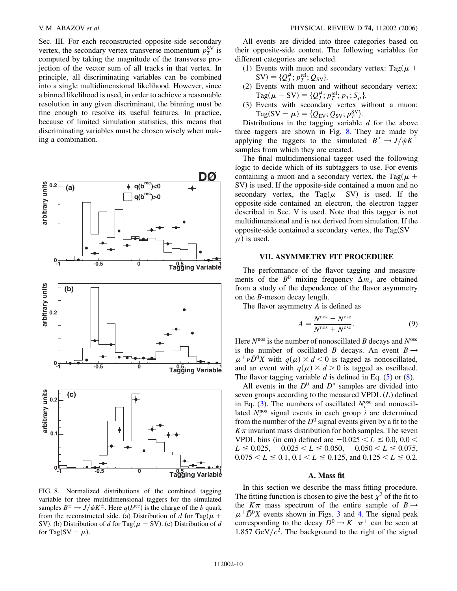Sec. III. For each reconstructed opposite-side secondary vertex, the secondary vertex transverse momentum  $p_T^{\text{SV}}$  is computed by taking the magnitude of the transverse projection of the vector sum of all tracks in that vertex. In principle, all discriminating variables can be combined into a single multidimensional likelihood. However, since a binned likelihood is used, in order to achieve a reasonable resolution in any given discriminant, the binning must be fine enough to resolve its useful features. In practice, because of limited simulation statistics, this means that discriminating variables must be chosen wisely when making a combination.

<span id="page-9-0"></span>

FIG. 8. Normalized distributions of the combined tagging variable for three multidimensional taggers for the simulated samples  $B^{\pm} \rightarrow J/\psi K^{\pm}$ . Here  $q(b^{\text{rec}})$  is the charge of the *b* quark from the reconstructed side. (a) Distribution of *d* for Tag( $\mu$  + SV). (b) Distribution of *d* for Tag( $\mu$  – SV). (c) Distribution of *d* for Tag(SV –  $\mu$ ).

All events are divided into three categories based on their opposite-side content. The following variables for different categories are selected.

- (1) Events with muon and secondary vertex: Tag( $\mu$  +  $SV$  = { $Q_J^{\mu}$ ;  $p_T^{\text{rel}}$ ;  $Q_{SV}$ }.
- (2) Events with muon and without secondary vertex:  $\text{Tag}(\mu - \text{SV}) = \{Q_J^{\mu}; p_T^{\text{rel}}; p_T; S_{\mu}\}.$
- (3) Events with secondary vertex without a muon:  $Tag(SV - \mu) = \{Q_{EV}; Q_{SV}; p_T^{SV}\}.$

Distributions in the tagging variable *d* for the above three taggers are shown in Fig. [8.](#page-9-0) They are made by applying the taggers to the simulated  $B^{\pm} \rightarrow J/\psi K^{\pm}$ samples from which they are created.

The final multidimensional tagger used the following logic to decide which of its subtaggers to use. For events containing a muon and a secondary vertex, the Tag( $\mu$  + SV) is used. If the opposite-side contained a muon and no secondary vertex, the Tag( $\mu$  – SV) is used. If the opposite-side contained an electron, the electron tagger described in Sec. V is used. Note that this tagger is not multidimensional and is not derived from simulation. If the opposite-side contained a secondary vertex, the Tag(SV  $\mu$ ) is used.

## **VII. ASYMMETRY FIT PROCEDURE**

The performance of the flavor tagging and measurements of the  $B^0$  mixing frequency  $\Delta m_d$  are obtained from a study of the dependence of the flavor asymmetry on the *B*-meson decay length.

<span id="page-9-1"></span>The flavor asymmetry *A* is defined as

$$
A = \frac{N^{\text{nos}} - N^{\text{osc}}}{N^{\text{nos}} + N^{\text{osc}}}.
$$
\n(9)

Here *N*nos is the number of nonoscillated *B* decays and *N*osc is the number of oscillated *B* decays. An event  $B \rightarrow$  $\mu^+ \nu \bar{D}^0 X$  with  $q(\mu) \times d < 0$  is tagged as nonoscillated, and an event with  $q(\mu) \times d > 0$  is tagged as oscillated. The flavor tagging variable *d* is defined in Eq. [\(5\)](#page-6-0) or [\(8\)](#page-8-1).

All events in the  $D^0$  and  $D^*$  samples are divided into seven groups according to the measured VPDL (*L*) defined in Eq. [\(3\)](#page-5-4). The numbers of oscillated  $N_i^{\text{osc}}$  and nonoscillated  $N_i^{\text{nos}}$  signal events in each group *i* are determined from the number of the  $D^0$  signal events given by a fit to the  $K\pi$  invariant mass distribution for both samples. The seven VPDL bins (in cm) defined are  $-0.025 < L \le 0.0, 0.0 <$  $L \le 0.025$ ,  $0.025 < L \le 0.050$ ,  $0.050 < L \le 0.075$ ,  $0.075 \le L \le 0.1$ ,  $0.1 \le L \le 0.125$ , and  $0.125 \le L \le 0.2$ .

### **A. Mass fit**

In this section we describe the mass fitting procedure. The fitting function is chosen to give the best  $\chi^2$  of the fit to the  $K\pi$  mass spectrum of the entire sample of  $B \rightarrow$  $\mu^+ \bar{D}^0 X$  events shown in Figs. [3](#page-5-1) and [4.](#page-5-2) The signal peak corresponding to the decay  $D^0 \rightarrow K^- \pi^+$  can be seen at 1.857 GeV/ $c^2$ . The background to the right of the signal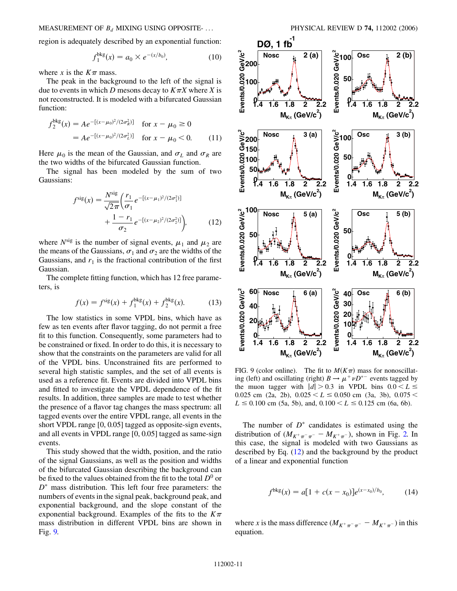region is adequately described by an exponential function:

$$
f_1^{\text{bkg}}(x) = a_0 \times e^{-(x/b_0)},\tag{10}
$$

where *x* is the  $K\pi$  mass.

The peak in the background to the left of the signal is due to events in which *D* mesons decay to  $K \pi X$  where *X* is not reconstructed. It is modeled with a bifurcated Gaussian function:

$$
f_2^{\text{bkg}}(x) = Ae^{-[(x-\mu_0)^2/(2\sigma_R^2)]} \quad \text{for } x - \mu_0 \ge 0
$$
  
=  $Ae^{-[(x-\mu_0)^2/(2\sigma_L^2)]} \quad \text{for } x - \mu_0 < 0.$  (11)

Here  $\mu_0$  is the mean of the Gaussian, and  $\sigma_L$  and  $\sigma_R$  are the two widths of the bifurcated Gaussian function.

<span id="page-10-1"></span>The signal has been modeled by the sum of two Gaussians:

$$
f^{\text{sig}}(x) = \frac{N^{\text{sig}}}{\sqrt{2\pi}} \left( \frac{r_1}{\sigma_1} e^{-[(x-\mu_1)^2/(2\sigma_1^2)]} + \frac{1-r_1}{\sigma_2} e^{-[(x-\mu_2)^2/(2\sigma_2^2)]} \right), \tag{12}
$$

where  $N^{\text{sig}}$  is the number of signal events,  $\mu_1$  and  $\mu_2$  are the means of the Gaussians,  $\sigma_1$  and  $\sigma_2$  are the widths of the Gaussians, and  $r_1$  is the fractional contribution of the first Gaussian.

The complete fitting function, which has 12 free parameters, is

$$
f(x) = f^{\text{sig}}(x) + f_1^{\text{bkg}}(x) + f_2^{\text{bkg}}(x). \tag{13}
$$

The low statistics in some VPDL bins, which have as few as ten events after flavor tagging, do not permit a free fit to this function. Consequently, some parameters had to be constrained or fixed. In order to do this, it is necessary to show that the constraints on the parameters are valid for all of the VPDL bins. Unconstrained fits are performed to several high statistic samples, and the set of all events is used as a reference fit. Events are divided into VPDL bins and fitted to investigate the VPDL dependence of the fit results. In addition, three samples are made to test whether the presence of a flavor tag changes the mass spectrum: all tagged events over the entire VPDL range, all events in the short VPDL range [0, 0.05] tagged as opposite-sign events, and all events in VPDL range [0, 0.05] tagged as same-sign events.

This study showed that the width, position, and the ratio of the signal Gaussians, as well as the position and widths of the bifurcated Gaussian describing the background can be fixed to the values obtained from the fit to the total  $D^0$  or  $D^*$  mass distribution. This left four free parameters: the numbers of events in the signal peak, background peak, and exponential background, and the slope constant of the exponential background. Examples of the fits to the  $K\pi$ mass distribution in different VPDL bins are shown in Fig. [9.](#page-10-0)

<span id="page-10-0"></span>

FIG. 9 (color online). The fit to  $M(K\pi)$  mass for nonoscillating (left) and oscillating (right)  $B \to \mu^+ \nu D^{*-}$  events tagged by the muon tagger with  $|d| > 0.3$  in VPDL bins  $0.0 < L \le$ 0.025 cm (2a, 2b),  $0.025 < L \le 0.050$  cm (3a, 3b),  $0.075 <$  $L \le 0.100$  cm (5a, 5b), and,  $0.100 < L \le 0.125$  cm (6a, 6b).

The number of  $D^*$  candidates is estimated using the distribution of  $(M_{K^+\pi^-\pi^-} - M_{K^+\pi^-})$ , shown in Fig. [2.](#page-5-0) In this case, the signal is modeled with two Gaussians as described by Eq. [\(12\)](#page-10-1) and the background by the product of a linear and exponential function

$$
f^{\text{bkg}}(x) = a[1 + c(x - x_0)]e^{(x - x_0)/b_0}, \qquad (14)
$$

where *x* is the mass difference  $(M_{K^+\pi^-\pi^-} - M_{K^+\pi^-})$  in this equation.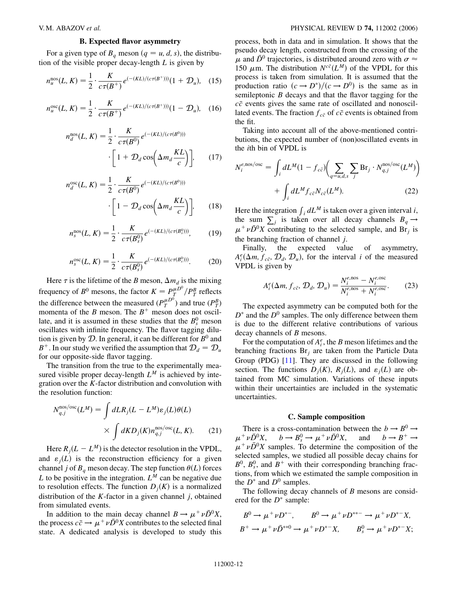$\boldsymbol{n}$ 

### **B. Expected flavor asymmetry**

For a given type of  $B_q$  meson  $(q = u, d, s)$ , the distribution of the visible proper decay-length *L* is given by

$$
n_u^{\text{nos}}(L, K) = \frac{1}{2} \cdot \frac{K}{c\tau(B^+)} e^{(-(KL)/(c\tau(B^+)))} (1 + \mathcal{D}_u), \quad (15)
$$

$$
n_u^{\text{osc}}(L, K) = \frac{1}{2} \cdot \frac{K}{c\tau(B^+)} e^{(-(KL)/(c\tau(B^+)))} (1 - \mathcal{D}_u), \quad (16)
$$

$$
n_d^{\text{nos}}(L, K) = \frac{1}{2} \cdot \frac{K}{c\tau(B^0)} e^{(-(KL)/(c\tau(B^0)))}
$$

$$
\cdot \left[1 + \mathcal{D}_d \cos\left(\Delta m_d \frac{KL}{c}\right)\right],\qquad(17)
$$

$$
C_d^{\text{osc}}(L, K) = \frac{1}{2} \cdot \frac{K}{c\tau(B^0)} e^{(-(KL)/(c\tau(B^0)))}
$$

$$
\cdot \left[1 - \mathcal{D}_d \cos\left(\Delta m_d \frac{KL}{c}\right)\right],\qquad(18)
$$

$$
n_s^{\text{nos}}(L, K) = \frac{1}{2} \cdot \frac{K}{c\tau(B_s^0)} e^{(-(KL)/(c\tau(B_s^0)))}, \tag{19}
$$

$$
n_s^{\rm osc}(L, K) = \frac{1}{2} \cdot \frac{K}{c\tau(B_s^0)} e^{(-(KL)/(c\tau(B_s^0)))}.
$$
 (20)

Here  $\tau$  is the lifetime of the *B* meson,  $\Delta m_d$  is the mixing frequency of  $B^0$  mesons, the factor  $K = P_T^{\mu D^0} / P_T^B$  reflects the difference between the measured  $(P_T^{\mu D^0})$  and true  $(P_T^B)$ momenta of the *B* meson. The  $B^+$  meson does not oscillate, and it is assumed in these studies that the  $B_s^0$  meson oscillates with infinite frequency. The flavor tagging dilution is given by  $D$ . In general, it can be different for  $B^0$  and  $B^+$ . In our study we verified the assumption that  $\mathcal{D}_d = \mathcal{D}_u$ for our opposite-side flavor tagging.

The transition from the true to the experimentally measured visible proper decay-length  $L^M$  is achieved by integration over the *K*-factor distribution and convolution with the resolution function:

$$
N_{q,j}^{\text{nos/osc}}(L^M) = \int dL R_j (L - L^M) \varepsilon_j(L) \theta(L)
$$

$$
\times \int dK D_j(K) n_{q,j}^{\text{nos/osc}}(L, K). \qquad (21)
$$

Here  $R_j(L - L^M)$  is the detector resolution in the VPDL, and  $\varepsilon_j(L)$  is the reconstruction efficiency for a given channel *j* of  $B_q$  meson decay. The step function  $\theta(L)$  forces *L* to be positive in the integration.  $L^M$  can be negative due to resolution effects. The function  $D_i(K)$  is a normalized distribution of the *K*-factor in a given channel *j*, obtained from simulated events.

In addition to the main decay channel  $B \to \mu^+ \nu \bar{D}^0 X$ , the process  $c\bar{c} \to \mu^+ \nu \bar{D}^0 X$  contributes to the selected final state. A dedicated analysis is developed to study this process, both in data and in simulation. It shows that the pseudo decay length, constructed from the crossing of the  $\mu$  and  $\bar{D}^0$  trajectories, is distributed around zero with  $\sigma \approx$ 150  $\mu$ m. The distribution  $N^{c\bar{c}}(L^M)$  of the VPDL for this process is taken from simulation. It is assumed that the production ratio  $(c \rightarrow D^*)/(c \rightarrow D^0)$  is the same as in semileptonic *B* decays and that the flavor tagging for the  $c\bar{c}$  events gives the same rate of oscillated and nonoscillated events. The fraction  $f_{c\bar{c}}$  of  $c\bar{c}$  events is obtained from the fit.

Taking into account all of the above-mentioned contributions, the expected number of (non)oscillated events in the *i*th bin of VPDL is

$$
N_i^{e,\text{nos/osc}} = \int_i dL^M (1 - f_{c\bar{c}}) \bigg( \sum_{q=u,d,s} \sum_j \text{Br}_j \cdot N_{q,j}^{\text{nos/osc}} (L^M) \bigg) + \int_i dL^M f_{c\bar{c}} N_{c\bar{c}} (L^M). \tag{22}
$$

Here the integration  $\int_i dL^M$  is taken over a given interval *i*, the sum  $\sum_j$  is taken over all decay channels  $B_q \rightarrow$  $\mu^+ \nu \bar{D}^0 X$  contributing to the selected sample, and Br<sub>j</sub> is the branching fraction of channel *j*.

<span id="page-11-0"></span>Finally, the expected value of asymmetry,  $A_i^e(\Delta m, f_{c\bar{c}}, \mathcal{D}_d, \mathcal{D}_u)$ , for the interval *i* of the measured VPDL is given by

$$
A_i^e(\Delta m, f_{c\bar{c}}, \mathcal{D}_d, \mathcal{D}_u) = \frac{N_i^{e,\text{nos}} - N_i^{e,\text{osc}}}{N_i^{e,\text{nos}} + N_i^{e,\text{osc}}}.
$$
 (23)

The expected asymmetry can be computed both for the  $D^*$  and the  $D^0$  samples. The only difference between them is due to the different relative contributions of various decay channels of *B* mesons.

For the computation of  $A_i^e$ , the *B* meson lifetimes and the branching fractions Br*<sup>j</sup>* are taken from the Particle Data Group (PDG) [[11](#page-18-10)]. They are discussed in the following section. The functions  $D_i(K)$ ,  $R_i(L)$ , and  $\varepsilon_i(L)$  are obtained from MC simulation. Variations of these inputs within their uncertainties are included in the systematic uncertainties.

### **C. Sample composition**

There is a cross-contamination between the  $b \rightarrow B^0 \rightarrow$  $\mu^+ \nu \bar{D}^0 X$ ,  $b \to B^0_s \to \mu^+ \nu \bar{D}$ and  $b \rightarrow B^+ \rightarrow$  $\mu^+ \nu \bar{D}^0 X$  samples. To determine the composition of the selected samples, we studied all possible decay chains for  $B^0$ ,  $B_s^0$ , and  $B^+$  with their corresponding branching fractions, from which we estimated the sample composition in the  $D^*$  and  $D^0$  samples.

The following decay channels of *B* mesons are considered for the  $D^*$  sample:

$$
B^0 \to \mu^+ \nu D^{*-}, \qquad B^0 \to \mu^+ \nu D^{**-} \to \mu^+ \nu D^{*-} X,
$$
  

$$
B^+ \to \mu^+ \nu \bar{D}^{**0} \to \mu^+ \nu D^{*-} X, \qquad B^0_s \to \mu^+ \nu D^{*-} X;
$$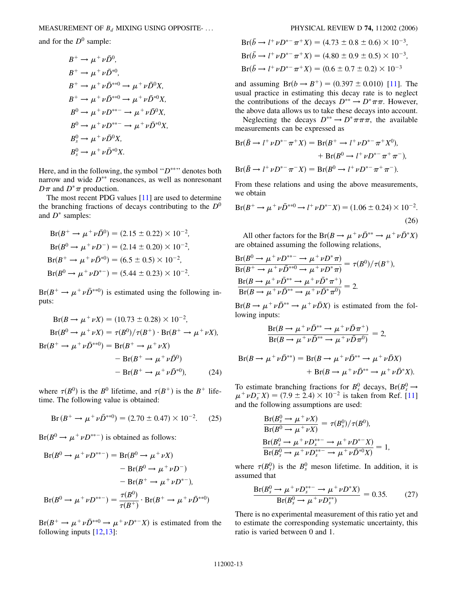MEASUREMENT OF *Bd* MIXING USING OPPOSITE- ... PHYSICAL REVIEW D **74,** 112002 (2006)

and for the  $D^0$  sample:

$$
B^+ \to \mu^+ \nu \bar{D}^0,
$$
  
\n
$$
B^+ \to \mu^+ \nu \bar{D}^{*0},
$$
  
\n
$$
B^+ \to \mu^+ \nu \bar{D}^{*0} \to \mu^+ \nu \bar{D}^0 X,
$$
  
\n
$$
B^+ \to \mu^+ \nu \bar{D}^{*0} \to \mu^+ \nu \bar{D}^{*0} X,
$$
  
\n
$$
B^0 \to \mu^+ \nu D^{**-} \to \mu^+ \nu \bar{D}^0 X,
$$
  
\n
$$
B^0 \to \mu^+ \nu D^{**-} \to \mu^+ \nu \bar{D}^{*0} X,
$$
  
\n
$$
B^0_s \to \mu^+ \nu \bar{D}^0 X,
$$
  
\n
$$
B^0_s \to \mu^+ \nu \bar{D}^{*0} X.
$$

Here, and in the following, the symbol " $D^{**}$ " denotes both narrow and wide  $D^{**}$  resonances, as well as nonresonant  $D\pi$  and  $D^*\pi$  production.

The most recent PDG values [[11](#page-18-10)] are used to determine the branching fractions of decays contributing to the  $D^0$ and  $D^*$  samples:

$$
Br(B^+ \to \mu^+ \nu \bar{D}^0) = (2.15 \pm 0.22) \times 10^{-2},
$$
  
\n
$$
Br(B^0 \to \mu^+ \nu D^-) = (2.14 \pm 0.20) \times 10^{-2},
$$
  
\n
$$
Br(B^+ \to \mu^+ \nu \bar{D}^{*0}) = (6.5 \pm 0.5) \times 10^{-2},
$$
  
\n
$$
Br(B^0 \to \mu^+ \nu D^{*-}) = (5.44 \pm 0.23) \times 10^{-2}.
$$

 $Br(B^+ \to \mu^+ \nu \bar{D}^{*0})$  is estimated using the following inputs:

$$
Br(B \to \mu^+ \nu X) = (10.73 \pm 0.28) \times 10^{-2},
$$
  
\n
$$
Br(B^0 \to \mu^+ \nu X) = \tau(B^0) / \tau(B^+) \cdot Br(B^+ \to \mu^+ \nu X),
$$
  
\n
$$
Br(B^+ \to \mu^+ \nu \bar{D}^{**0}) = Br(B^+ \to \mu^+ \nu X)
$$
  
\n
$$
- Br(B^+ \to \mu^+ \nu \bar{D}^{*0})
$$
  
\n
$$
- Br(B^+ \to \mu^+ \nu \bar{D}^{*0}),
$$
 (24)

where  $\tau(B^0)$  is the  $B^0$  lifetime, and  $\tau(B^+)$  is the  $B^+$  lifetime. The following value is obtained:

$$
Br(B^+ \to \mu^+ \nu \bar{D}^{**0}) = (2.70 \pm 0.47) \times 10^{-2}. \tag{25}
$$

 $Br(B^0 \to \mu^+ \nu D^{**-})$  is obtained as follows:

$$
Br(B^{0} \to \mu^{+} \nu D^{**-}) = Br(B^{0} \to \mu^{+} \nu X)
$$
  
- Br(B^{0} \to \mu^{+} \nu D^{-})  
- Br(B^{+} \to \mu^{+} \nu D^{\*-}),  

$$
Br(B^{0} \to \mu^{+} \nu D^{**-}) = \frac{\tau(B^{0})}{\tau(B^{+})} \cdot Br(B^{+} \to \mu^{+} \nu \bar{D}^{**0})
$$

 $Br(B^+ \to \mu^+ \nu \bar{D}^{**0} \to \mu^+ \nu D^{*-} X)$  is estimated from the following inputs  $[12,13]$  $[12,13]$  $[12,13]$  $[12,13]$  $[12,13]$ :

$$
Br(\bar{b} \to l^+ \nu D^{*-} \pi^+ X) = (4.73 \pm 0.8 \pm 0.6) \times 10^{-3},
$$
  
\n
$$
Br(\bar{b} \to l^+ \nu D^{*-} \pi^+ X) = (4.80 \pm 0.9 \pm 0.5) \times 10^{-3},
$$
  
\n
$$
Br(\bar{b} \to l^+ \nu D^{*-} \pi^+ X) = (0.6 \pm 0.7 \pm 0.2) \times 10^{-3}
$$

and assuming  $Br(b \to B^+) = (0.397 \pm 0.010)$  [\[11\]](#page-18-10). The usual practice in estimating this decay rate is to neglect the contributions of the decays  $D^{**} \to D^* \pi \pi$ . However, the above data allows us to take these decays into account.

Neglecting the decays  $D^{**} \to D^* \pi \pi \pi$ , the available measurements can be expressed as

$$
Br(\bar{B} \to l^+ \nu D^{*-} \pi^+ X) = Br(B^+ \to l^+ \nu D^{*-} \pi^+ X^0),
$$
  
+ 
$$
Br(B^0 \to l^+ \nu D^{*-} \pi^+ \pi^-),
$$
  

$$
Br(\bar{B} \to l^+ \nu D^{*-} \pi^- X) = Br(B^0 \to l^+ \nu D^{*-} \pi^+ \pi^-).
$$

From these relations and using the above measurements, we obtain

$$
Br(B^+ \to \mu^+ \nu \bar{D}^{**0} \to l^+ \nu D^{*-} X) = (1.06 \pm 0.24) \times 10^{-2}.
$$
\n(26)

All other factors for the Br( $B \to \mu^+ \nu \bar{D}^{**} \to \mu^+ \nu \bar{D}^* X$ ) are obtained assuming the following relations,

$$
\frac{\text{Br}(B^0 \to \mu^+ \nu D^{**} \to \mu^+ \nu D^* \pi)}{\text{Br}(B^+ \to \mu^+ \nu \bar{D}^{**0} \to \mu^+ \nu D^* \pi)} = \tau(B^0)/\tau(B^+),
$$
  

$$
\frac{\text{Br}(B \to \mu^+ \nu \bar{D}^{**} \to \mu^+ \nu \bar{D}^* \pi^+)}{\text{Br}(B \to \mu^+ \nu \bar{D}^{**} \to \mu^+ \nu \bar{D}^* \pi^0)} = 2.
$$

 $Br(B \to \mu^+ \nu \bar{D}^{**} \to \mu^+ \nu \bar{D}X)$  is estimated from the following inputs:

$$
\frac{\text{Br}(B \to \mu^+ \nu \bar{D}^{**} \to \mu^+ \nu \bar{D} \pi^+)}{\text{Br}(B \to \mu^+ \nu \bar{D}^{**} \to \mu^+ \nu \bar{D} \pi^0)} = 2,
$$

$$
Br(B \to \mu^+ \nu \bar{D}^{**}) = Br(B \to \mu^+ \nu \bar{D}^{**} \to \mu^+ \nu \bar{D}X) + Br(B \to \mu^+ \nu \bar{D}^{**} \to \mu^+ \nu \bar{D}^* X).
$$

To estimate branching fractions for  $B_s^0$  decays,  $Br(B_s^0 \rightarrow$  $\mu^+ \nu D_s^- X$  = (7.9 ± 2.4) × 10<sup>-2</sup> is taken from Ref. [\[11\]](#page-18-10) and the following assumptions are used:

$$
\frac{\text{Br}(B_s^0 \to \mu^+ \nu X)}{\text{Br}(B^0 \to \mu^+ \nu X)} = \tau(B_s^0) / \tau(B^0), \n\frac{\text{Br}(B_s^0 \to \mu^+ \nu D_s^{**} \to \mu^+ \nu D^{*-} X)}{\text{Br}(B_s^0 \to \mu^+ \nu D_s^{**} \to \mu^+ \nu \bar{D}^{*0} X)} = 1,
$$

where  $\tau(B_s^0)$  is the  $B_s^0$  meson lifetime. In addition, it is assumed that

$$
\frac{\text{Br}(B_s^0 \to \mu^+ \nu D_s^{**} \to \mu^+ \nu D^* X)}{\text{Br}(B_s^0 \to \mu^+ \nu D_s^{**})} = 0.35. \tag{27}
$$

There is no experimental measurement of this ratio yet and to estimate the corresponding systematic uncertainty, this ratio is varied between 0 and 1.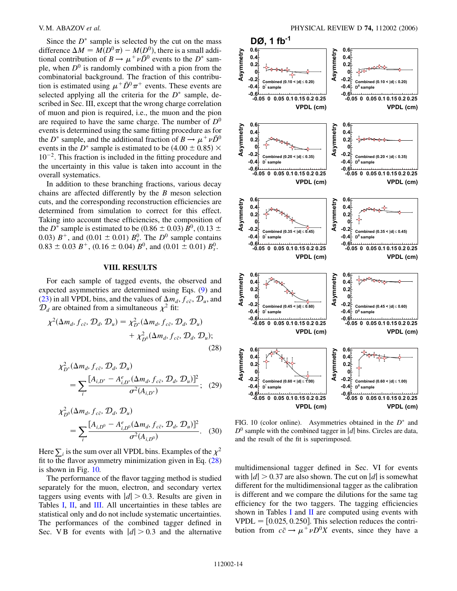Since the  $D^*$  sample is selected by the cut on the mass difference  $\Delta M = M(D^0 \pi) - M(D^0)$ , there is a small additional contribution of  $B \to \mu^+ \nu \bar{D}^0$  events to the  $D^*$  sample, when  $D^0$  is randomly combined with a pion from the combinatorial background. The fraction of this contribution is estimated using  $\mu^+ \bar{D}^0 \pi^+$  events. These events are selected applying all the criteria for the  $D^*$  sample, described in Sec. III, except that the wrong charge correlation of muon and pion is required, i.e., the muon and the pion are required to have the same charge. The number of  $D^0$ events is determined using the same fitting procedure as for the *D*<sup>\*</sup> sample, and the additional fraction of  $B \to \mu^+ \nu \bar{D}^0$ events in the *D*<sup>\*</sup> sample is estimated to be  $(4.00 \pm 0.85) \times$  $10^{-2}$ . This fraction is included in the fitting procedure and the uncertainty in this value is taken into account in the overall systematics.

In addition to these branching fractions, various decay chains are affected differently by the *B* meson selection cuts, and the corresponding reconstruction efficiencies are determined from simulation to correct for this effect. Taking into account these efficiencies, the composition of the *D*<sup>\*</sup> sample is estimated to be (0.86  $\pm$  0.03) *B*<sup>0</sup>, (0.13  $\pm$ 0.03)  $B^+$ , and (0.01  $\pm$  0.01)  $B_s^0$ . The  $D^0$  sample contains  $0.83 \pm 0.03$   $B^+$ ,  $(0.16 \pm 0.04)$   $B^0$ , and  $(0.01 \pm 0.01)$   $B_s^0$ .

## **VIII. RESULTS**

For each sample of tagged events, the observed and expected asymmetries are determined using Eqs. [\(9\)](#page-9-1) and [\(23\)](#page-11-0) in all VPDL bins, and the values of  $\Delta m_d$ ,  $f_{c\bar{c}}$ ,  $\mathcal{D}_u$ , and  $\mathcal{D}_d$  are obtained from a simultaneous  $\chi^2$  fit:

$$
\chi^2(\Delta m_d, f_{c\bar{c}}, \mathcal{D}_d, \mathcal{D}_u) = \chi^2_{D^s}(\Delta m_d, f_{c\bar{c}}, \mathcal{D}_d, \mathcal{D}_u) + \chi^2_{D^0}(\Delta m_d, f_{c\bar{c}}, \mathcal{D}_d, \mathcal{D}_u);
$$
\n(28)

$$
\chi_{D^*}^2(\Delta m_d, f_{c\bar{c}}, \mathcal{D}_d, \mathcal{D}_u)
$$
  
= 
$$
\sum_i \frac{[A_{i,D^*} - A_{i,D^*}^e(\Delta m_d, f_{c\bar{c}}, \mathcal{D}_d, \mathcal{D}_u)]^2}{\sigma^2(A_{i,D^*})};
$$
 (29)

$$
\chi_{D^0}^2(\Delta m_d, f_{c\bar{c}}, \mathcal{D}_d, \mathcal{D}_u)
$$
  
= 
$$
\sum_i \frac{[A_{i,D^0} - A_{i,D^0}^e(\Delta m_d, f_{c\bar{c}}, \mathcal{D}_d, \mathcal{D}_u)]^2}{\sigma^2(A_{i,D^0})}.
$$
 (30)

<span id="page-13-0"></span>Here  $\sum_i$  is the sum over all VPDL bins. Examples of the  $\chi^2$ fit to the flavor asymmetry minimization given in Eq.  $(28)$ is shown in Fig. [10.](#page-13-1)

The performance of the flavor tagging method is studied separately for the muon, electron, and secondary vertex taggers using events with  $|d| > 0.3$ . Results are given in Tables I, II, and III. All uncertainties in these tables are statistical only and do not include systematic uncertainties. The performances of the combined tagger defined in Sec. V B for events with  $|d| > 0.3$  and the alternative

<span id="page-13-1"></span>

FIG. 10 (color online). Asymmetries obtained in the  $D^*$  and  $D^0$  sample with the combined tagger in |*d*| bins. Circles are data, and the result of the fit is superimposed.

multidimensional tagger defined in Sec. VI for events with  $|d| > 0.37$  are also shown. The cut on  $|d|$  is somewhat different for the multidimensional tagger as the calibration is different and we compare the dilutions for the same tag efficiency for the two taggers. The tagging efficiencies shown in Tables I and  $II$  are computed using events with  $VPDL = [0.025, 0.250]$ . This selection reduces the contribution from  $c\bar{c} \rightarrow \mu^+ \nu D^0 X$  events, since they have a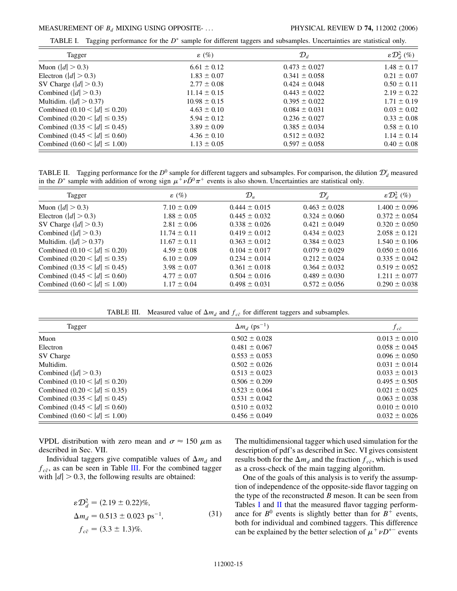TABLE I. Tagging performance for the  $D^*$  sample for different taggers and subsamples. Uncertainties are statistical only.

| Tagger                           | $\varepsilon$ (%) | $\mathcal{D}_d$   | $\epsilon\mathcal{D}_d^2$ (%) |
|----------------------------------|-------------------|-------------------|-------------------------------|
| Muon ( $ d  > 0.3$ )             | $6.61 \pm 0.12$   | $0.473 \pm 0.027$ | $1.48 \pm 0.17$               |
| Electron ( $ d  > 0.3$ )         | $1.83 \pm 0.07$   | $0.341 \pm 0.058$ | $0.21 \pm 0.07$               |
| SV Charge $( d  > 0.3)$          | $2.77 \pm 0.08$   | $0.424 \pm 0.048$ | $0.50 \pm 0.11$               |
| Combined ( $ d  > 0.3$ )         | $11.14 \pm 0.15$  | $0.443 \pm 0.022$ | $2.19 \pm 0.22$               |
| Multidim. $( d  > 0.37)$         | $10.98 \pm 0.15$  | $0.395 \pm 0.022$ | $1.71 \pm 0.19$               |
| Combined $(0.10 <  d  \le 0.20)$ | $4.63 \pm 0.10$   | $0.084 \pm 0.031$ | $0.03 \pm 0.02$               |
| Combined $(0.20 <  d  \le 0.35)$ | $5.94 \pm 0.12$   | $0.236 \pm 0.027$ | $0.33 \pm 0.08$               |
| Combined $(0.35 <  d  \le 0.45)$ | $3.89 \pm 0.09$   | $0.385 \pm 0.034$ | $0.58 \pm 0.10$               |
| Combined $(0.45 <  d  \le 0.60)$ | $4.36 \pm 0.10$   | $0.512 \pm 0.032$ | $1.14 \pm 0.14$               |
| Combined $(0.60 <  d  \le 1.00)$ | $1.13 \pm 0.05$   | $0.597 \pm 0.058$ | $0.40 \pm 0.08$               |

TABLE II. Tagging performance for the  $D^0$  sample for different taggers and subsamples. For comparison, the dilution  $\mathcal{D}'_d$  measured in the *D*<sup>\*</sup> sample with addition of wrong sign  $\mu^+ \nu \bar{D}^0 \pi^+$  events is also shown. Uncertainties are statistical only.

| Tagger                           | $\varepsilon$ (%) | $\mathcal{D}_u$   | $\mathcal{D}_d'$  | $\varepsilon\mathcal{D}^2_\mu$ (%) |
|----------------------------------|-------------------|-------------------|-------------------|------------------------------------|
| Muon ( $ d  > 0.3$ )             | $7.10 \pm 0.09$   | $0.444 \pm 0.015$ | $0.463 \pm 0.028$ | $1.400 \pm 0.096$                  |
| Electron $( d  > 0.3)$           | $1.88 \pm 0.05$   | $0.445 \pm 0.032$ | $0.324 \pm 0.060$ | $0.372 \pm 0.054$                  |
| SV Charge $( d  > 0.3)$          | $2.81 \pm 0.06$   | $0.338 \pm 0.026$ | $0.421 \pm 0.049$ | $0.320 \pm 0.050$                  |
| Combined $( d  > 0.3)$           | $11.74 \pm 0.11$  | $0.419 \pm 0.012$ | $0.434 \pm 0.023$ | $2.058 \pm 0.121$                  |
| Multidim. $( d  > 0.37)$         | $11.67 \pm 0.11$  | $0.363 \pm 0.012$ | $0.384 \pm 0.023$ | $1.540 \pm 0.106$                  |
| Combined $(0.10 <  d  \le 0.20)$ | $4.59 \pm 0.08$   | $0.104 \pm 0.017$ | $0.079 \pm 0.029$ | $0.050 \pm 0.016$                  |
| Combined $(0.20 <  d  \le 0.35)$ | $6.10 \pm 0.09$   | $0.234 \pm 0.014$ | $0.212 \pm 0.024$ | $0.335 \pm 0.042$                  |
| Combined $(0.35 <  d  \le 0.45)$ | $3.98 \pm 0.07$   | $0.361 \pm 0.018$ | $0.364 \pm 0.032$ | $0.519 \pm 0.052$                  |
| Combined $(0.45 <  d  \le 0.60)$ | $4.77 \pm 0.07$   | $0.504 \pm 0.016$ | $0.489 \pm 0.030$ | $1.211 \pm 0.077$                  |
| Combined $(0.60 <  d  \le 1.00)$ | $1.17 \pm 0.04$   | $0.498 \pm 0.031$ | $0.572 \pm 0.056$ | $0.290 \pm 0.038$                  |

TABLE III. Measured value of  $\Delta m_d$  and  $f_{c\bar{c}}$  for different taggers and subsamples.

| Tagger                           | $\Delta m_d$ (ps <sup>-1</sup> ) | $f_{c\bar{c}}$    |
|----------------------------------|----------------------------------|-------------------|
| Muon                             | $0.502 \pm 0.028$                | $0.013 \pm 0.010$ |
| Electron                         | $0.481 \pm 0.067$                | $0.058 \pm 0.045$ |
| SV Charge                        | $0.553 \pm 0.053$                | $0.096 \pm 0.050$ |
| Multidim.                        | $0.502 \pm 0.026$                | $0.031 \pm 0.014$ |
| Combined ( $ d  > 0.3$ )         | $0.513 \pm 0.023$                | $0.033 \pm 0.013$ |
| Combined $(0.10 <  d  \le 0.20)$ | $0.506 \pm 0.209$                | $0.495 \pm 0.505$ |
| Combined $(0.20 <  d  \le 0.35)$ | $0.523 \pm 0.064$                | $0.021 \pm 0.025$ |
| Combined $(0.35 <  d  \le 0.45)$ | $0.531 \pm 0.042$                | $0.063 \pm 0.038$ |
| Combined $(0.45 <  d  \le 0.60)$ | $0.510 \pm 0.032$                | $0.010 \pm 0.010$ |
| Combined $(0.60 <  d  \le 1.00)$ | $0.456 \pm 0.049$                | $0.032 \pm 0.026$ |

VPDL distribution with zero mean and  $\sigma \approx 150 \ \mu \text{m}$  as described in Sec. VII.

<span id="page-14-0"></span>Individual taggers give compatible values of  $\Delta m_d$  and  $f_{c\bar{c}}$ , as can be seen in Table III. For the combined tagger with  $|d| > 0.3$ , the following results are obtained:

$$
\varepsilon \mathcal{D}_d^2 = (2.19 \pm 0.22)\%,
$$
  
\n
$$
\Delta m_d = 0.513 \pm 0.023 \text{ ps}^{-1},
$$
  
\n
$$
f_{c\bar{c}} = (3.3 \pm 1.3)\%.
$$
\n(31)

The multidimensional tagger which used simulation for the description of pdf's as described in Sec. VI gives consistent results both for the  $\Delta m_d$  and the fraction  $f_{c\bar{c}}$ , which is used as a cross-check of the main tagging algorithm.

One of the goals of this analysis is to verify the assumption of independence of the opposite-side flavor tagging on the type of the reconstructed *B* meson. It can be seen from Tables I and II that the measured flavor tagging performance for  $B^0$  events is slightly better than for  $B^+$  events, both for individual and combined taggers. This difference can be explained by the better selection of  $\mu^+ \nu D^{*-}$  events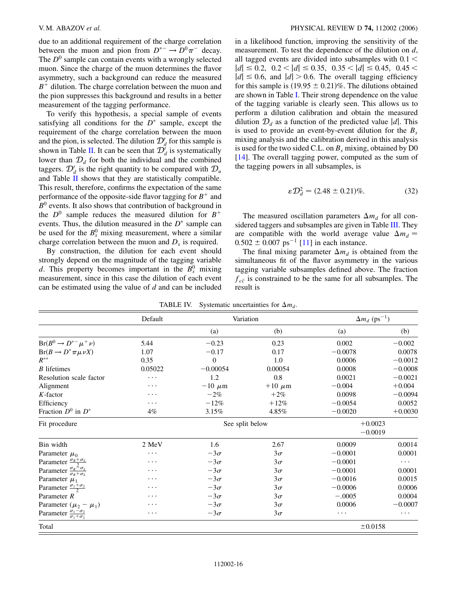due to an additional requirement of the charge correlation between the muon and pion from  $D^{*-} \to D^0 \pi^-$  decay. The  $D^0$  sample can contain events with a wrongly selected muon. Since the charge of the muon determines the flavor asymmetry, such a background can reduce the measured  $B<sup>+</sup>$  dilution. The charge correlation between the muon and the pion suppresses this background and results in a better measurement of the tagging performance.

To verify this hypothesis, a special sample of events satisfying all conditions for the  $D^*$  sample, except the requirement of the charge correlation between the muon and the pion, is selected. The dilution  $\mathcal{D}'_d$  for this sample is shown in Table II. It can be seen that  $\mathcal{D}'_d$  is systematically lower than  $\mathcal{D}_d$  for both the individual and the combined taggers.  $\mathcal{D}'_d$  is the right quantity to be compared with  $\mathcal{D}_u$ and Table II shows that they are statistically compatible. This result, therefore, confirms the expectation of the same performance of the opposite-side flavor tagging for  $B^+$  and  $B<sup>0</sup>$  events. It also shows that contribution of background in the  $D^0$  sample reduces the measured dilution for  $B^+$ events. Thus, the dilution measured in the  $D^*$  sample can be used for the  $B_s^0$  mixing measurement, where a similar charge correlation between the muon and  $D<sub>s</sub>$  is required.

By construction, the dilution for each event should strongly depend on the magnitude of the tagging variable *d*. This property becomes important in the  $B_s^0$  mixing measurement, since in this case the dilution of each event can be estimated using the value of *d* and can be included in a likelihood function, improving the sensitivity of the measurement. To test the dependence of the dilution on *d*, all tagged events are divided into subsamples with 0*:*1 *<*  $|d| \leq 0.2$ ,  $0.2 < |d| \leq 0.35$ ,  $0.35 < |d| \leq 0.45$ ,  $0.45 <$  $|d| \leq 0.6$ , and  $|d| > 0.6$ . The overall tagging efficiency for this sample is  $(19.95 \pm 0.21)\%$ . The dilutions obtained are shown in Table I. Their strong dependence on the value of the tagging variable is clearly seen. This allows us to perform a dilution calibration and obtain the measured dilution  $\mathcal{D}_d$  as a function of the predicted value |*d*|. This is used to provide an event-by-event dilution for the *Bs* mixing analysis and the calibration derived in this analysis is used for the two sided C.L. on  $B_s$  mixing, obtained by D0 [\[14\]](#page-18-13). The overall tagging power, computed as the sum of the tagging powers in all subsamples, is

$$
\varepsilon \mathcal{D}_d^2 = (2.48 \pm 0.21)\%.
$$
 (32)

<span id="page-15-0"></span>The measured oscillation parameters  $\Delta m_d$  for all considered taggers and subsamples are given in Table III. They are compatible with the world average value  $\Delta m_d =$  $0.502 \pm 0.007$  ps<sup>-1</sup> [[11](#page-18-10)] in each instance.

The final mixing parameter  $\Delta m_d$  is obtained from the simultaneous fit of the flavor asymmetry in the various tagging variable subsamples defined above. The fraction  $f_{c\bar{c}}$  is constrained to be the same for all subsamples. The result is

|                                                             | Default  | Variation       |             | $\Delta m_d$ (ps <sup>-1</sup> ) |           |  |
|-------------------------------------------------------------|----------|-----------------|-------------|----------------------------------|-----------|--|
|                                                             |          | (a)             | (b)         | (a)                              | (b)       |  |
| $Br(B^0 \rightarrow D^{*-} \mu^+ \nu)$                      | 5.44     | $-0.23$         | 0.23        | 0.002                            | $-0.002$  |  |
| $Br(B \to D^* \pi \mu \nu X)$                               | 1.07     | $-0.17$         | 0.17        | $-0.0078$                        | 0.0078    |  |
| $R^{**}$                                                    | 0.35     | $\mathbf{0}$    | 1.0         | 0.0006                           | $-0.0012$ |  |
| $B$ lifetimes                                               | 0.05022  | $-0.00054$      | 0.00054     | 0.0008                           | $-0.0008$ |  |
| Resolution scale factor                                     | $\cdots$ | 1.2             | 0.8         | 0.0021                           | $-0.0021$ |  |
| Alignment                                                   | .        | $-10 \mu m$     | $+10 \mu m$ | $-0.004$                         | $+0.004$  |  |
| $K$ -factor                                                 | $\cdots$ | $-2%$           | $+2\%$      | 0.0098                           | $-0.0094$ |  |
| Efficiency                                                  | .        | $-12%$          | $+12%$      | $-0.0054$                        | 0.0052    |  |
| Fraction $D^0$ in $D^*$                                     | $4\%$    | 3.15%           | 4.85%       | $-0.0020$                        | $+0.0030$ |  |
| Fit procedure                                               |          | See split below |             | $+0.0023$                        |           |  |
|                                                             |          |                 |             | $-0.0019$                        |           |  |
| Bin width                                                   | 2 MeV    | 1.6             | 2.67        | 0.0009                           | 0.0014    |  |
| Parameter $\mu_0$                                           | .        | $-3\sigma$      | $3\sigma$   | $-0.0001$                        | 0.0001    |  |
| Parameter $\frac{\sigma_R + \sigma_L}{2}$                   | $\cdots$ | $-3\sigma$      | $3\sigma$   | $-0.0001$                        | $\cdots$  |  |
| Parameter $\frac{\sigma_R = \sigma_L}{\sigma_R + \sigma_L}$ | .        | $-3\sigma$      | $3\sigma$   | $-0.0001$                        | 0.0001    |  |
| Parameter $\mu_1$                                           | .        | $-3\sigma$      | $3\sigma$   | $-0.0016$                        | 0.0015    |  |
| Parameter $\frac{\sigma_1 + \sigma_2}{2}$                   | .        | $-3\sigma$      | $3\sigma$   | $-0.0006$                        | 0.0006    |  |
| Parameter $R$                                               | .        | $-3\sigma$      | $3\sigma$   | $-.0005$                         | 0.0004    |  |
| Parameter $(\mu_2 - \mu_1)$                                 | .        | $-3\sigma$      | $3\sigma$   | 0.0006                           | $-0.0007$ |  |
| Parameter $\frac{\sigma_1 - \sigma_2}{\sigma_1 + \sigma_2}$ | .        | $-3\sigma$      | $3\sigma$   | $\cdots$                         | $\cdots$  |  |
| Total                                                       |          |                 |             | ±0.0158                          |           |  |

|  |  | TABLE IV. Systematic uncertainties for $\Delta m_d$ . |  |  |
|--|--|-------------------------------------------------------|--|--|
|--|--|-------------------------------------------------------|--|--|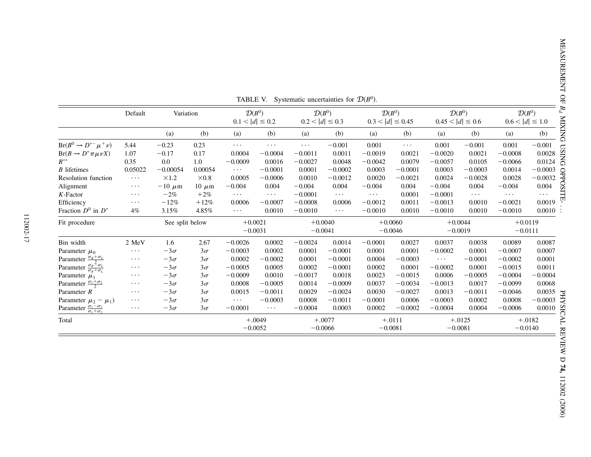|                                                             | Default  | Variation       |              | $\mathcal{D}(B^0)$<br>$0.1 <  d  \leq 0.2$ |           | $0.2 <  d  \leq 0.3$ | $\mathcal{D}(B^0)$ |           | $\mathcal{D}(B^0)$<br>$0.3 <  d  \le 0.45$ |           | $\mathcal{D}(B^0)$<br>$0.45 <  d  \leq 0.6$ |           | $\sigma$<br>$\mathcal{D}(B^0)$<br>Þ.<br>$0.6 <  d  \leq 1.0$ |
|-------------------------------------------------------------|----------|-----------------|--------------|--------------------------------------------|-----------|----------------------|--------------------|-----------|--------------------------------------------|-----------|---------------------------------------------|-----------|--------------------------------------------------------------|
|                                                             |          | (a)             | (b)          | (a)                                        | (b)       | (a)                  | (b)                | (a)       | (b)                                        | (a)       | (b)                                         | (a)       | (b)                                                          |
| $Br(B^0 \rightarrow D^{*-} \mu^+ \nu)$                      | 5.44     | $-0.23$         | 0.23         | $\cdots$                                   | $\cdots$  | $\cdots$             | $-0.001$           | 0.001     | $\cdots$                                   | 0.001     | $-0.001$                                    | 0.001     | $-0.001$                                                     |
| $Br(B \to D^* \pi \mu \nu X)$                               | 1.07     | $-0.17$         | 0.17         | 0.0004                                     | $-0.0004$ | $-0.0011$            | 0.0011             | $-0.0019$ | 0.0021                                     | $-0.0020$ | 0.0021                                      | $-0.0008$ | 0.0028                                                       |
| $R^{**}$                                                    | 0.35     | 0.0             | 1.0          | $-0.0009$                                  | 0.0016    | $-0.0027$            | 0.0048             | $-0.0042$ | 0.0079                                     | $-0.0057$ | 0.0105                                      | $-0.0066$ | $\overline{5}$<br>0.0124                                     |
| B lifetimes                                                 | 0.05022  | $-0.00054$      | 0.00054      | $\cdots$                                   | $-0.0001$ | 0.0001               | $-0.0002$          | 0.0003    | $-0.0001$                                  | 0.0003    | $-0.0003$                                   | 0.0014    | $-0.0003$                                                    |
| Resolution function                                         | $\cdots$ | $\times1.2$     | $\times 0.8$ | 0.0005                                     | $-0.0006$ | 0.0010               | $-0.0012$          | 0.0020    | $-0.0021$                                  | 0.0024    | $-0.0028$                                   | 0.0028    | $-0.0032$                                                    |
| Alignment                                                   | $\cdots$ | $-10 \mu m$     | $10 \mu m$   | $-0.004$                                   | 0.004     | $-0.004$             | 0.004              | $-0.004$  | 0.004                                      | $-0.004$  | 0.004                                       | $-0.004$  | S<br>0.004                                                   |
| K-Factor                                                    | $\cdots$ | $-2%$           | $+2\%$       | $\cdots$                                   | $\cdots$  | $-0.0001$            | $\cdots$           | .         | 0.0001                                     | $-0.0001$ | $\cdots$                                    | $\cdots$  | $\cdots$                                                     |
| Efficiency                                                  | $\cdots$ | $-12%$          | $+12%$       | 0.0006                                     | $-0.0007$ | $-0.0008$            | 0.0006             | $-0.0012$ | 0.0011                                     | $-0.0013$ | 0.0010                                      | $-0.0021$ | 0.0019                                                       |
| Fraction $D^0$ in $D^*$                                     | $4\%$    | 3.15%           | 4.85%        | $\cdots$                                   | 0.0010    | $-0.0010$            | $\cdots$           | $-0.0010$ | 0.0010                                     | $-0.0010$ | 0.0010                                      | $-0.0010$ | $0.0010$ :                                                   |
| Fit procedure                                               |          | See split below |              | $+0.0021$                                  |           | $+0.0040$            |                    | $+0.0060$ |                                            |           | $+0.0044$                                   |           | $+0.0119$                                                    |
|                                                             |          |                 |              | $-0.0031$                                  |           | $-0.0041$            |                    | $-0.0046$ |                                            | $-0.0019$ |                                             | $-0.0111$ |                                                              |
| Bin width                                                   | 2 MeV    | 1.6             | 2.67         | $-0.0026$                                  | 0.0002    | $-0.0024$            | 0.0014             | $-0.0001$ | 0.0027                                     | 0.0037    | 0.0038                                      | 0.0089    | 0.0087                                                       |
| Parameter $\mu_0$                                           | $\cdots$ | $-3\sigma$      | $3\sigma$    | $-0.0003$                                  | 0.0002    | 0.0001               | $-0.0001$          | 0.0001    | 0.0001                                     | $-0.0002$ | 0.0001                                      | $-0.0007$ | 0.0007                                                       |
| Parameter $\frac{\sigma_R + \sigma_L}{2}$                   | $\cdots$ | $-3\sigma$      | $3\sigma$    | 0.0002                                     | $-0.0002$ | 0.0001               | $-0.0001$          | 0.0004    | $-0.0003$                                  | $\cdots$  | $-0.0001$                                   | $-0.0002$ | 0.0001                                                       |
| Parameter $\frac{\sigma_R = \sigma_L}{\sigma_R + \sigma_L}$ | $\cdots$ | $-3\sigma$      | $3\sigma$    | $-0.0005$                                  | 0.0005    | 0.0002               | $-0.0001$          | 0.0002    | 0.0001                                     | $-0.0002$ | 0.0001                                      | $-0.0015$ | 0.0011                                                       |
| Parameter $\mu_1$                                           | $\cdots$ | $-3\sigma$      | $3\sigma$    | $-0.0009$                                  | 0.0010    | $-0.0017$            | 0.0018             | 0.0023    | $-0.0015$                                  | 0.0006    | $-0.0005$                                   | $-0.0004$ | $-0.0004$                                                    |
| Parameter $\frac{\sigma_1 + \sigma_2}{2}$                   | $\cdots$ | $-3\sigma$      | $3\sigma$    | 0.0008                                     | $-0.0005$ | 0.0014               | $-0.0009$          | 0.0037    | $-0.0034$                                  | $-0.0013$ | 0.0017                                      | $-0.0099$ | 0.0068                                                       |
| Parameter R                                                 | $\cdots$ | $-3\sigma$      | $3\sigma$    | 0.0015                                     | $-0.0011$ | 0.0029               | $-0.0024$          | 0.0030    | $-0.0027$                                  | 0.0013    | $-0.0011$                                   | $-0.0046$ | 0.0035<br>H                                                  |
| Parameter $\mu_2 - \mu_1$ )                                 | $\cdots$ | $-3\sigma$      | $3\sigma$    | $\cdots$                                   | $-0.0003$ | 0.0008               | $-0.0011$          | $-0.0001$ | 0.0006                                     | $-0.0003$ | 0.0002                                      | 0.0008    | $-0.0003$                                                    |
| Parameter $\frac{\sigma_1 - \sigma_2}{\sigma_1 + \sigma_2}$ | $\cdots$ | $-3\sigma$      | $3\sigma$    | $-0.0001$                                  | $\cdots$  | $-0.0004$            | 0.0003             | 0.0002    | $-0.0002$                                  | $-0.0004$ | 0.0004                                      | $-0.0006$ | 0.0010                                                       |
| Total                                                       |          |                 |              |                                            | $+.0049$  |                      | $+.0077$           |           | $+.0111$                                   |           | $+.0125$                                    |           | $+.0182$                                                     |
|                                                             |          |                 |              | $-0.0052$                                  |           | $-0.0066$            |                    | $-0.0081$ |                                            |           | $-0.0081$                                   |           | $-0.0140$<br>Ř                                               |

TABLE V. Systematic uncertainties for  $D(B^0)$ .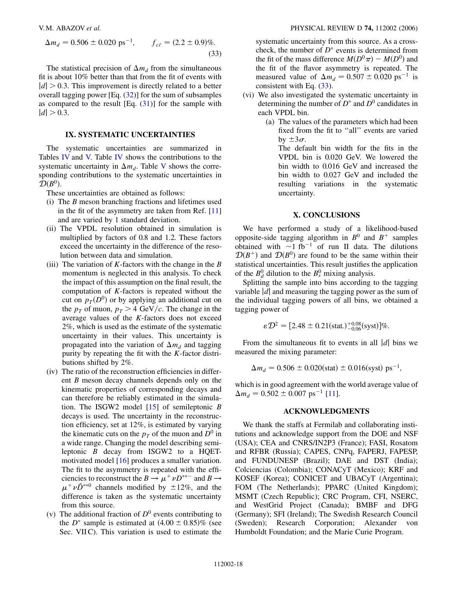$$
\Delta m_d = 0.506 \pm 0.020 \text{ ps}^{-1}, \qquad f_{c\bar{c}} = (2.2 \pm 0.9)\%.
$$
\n(33)

<span id="page-17-0"></span>The statistical precision of  $\Delta m_d$  from the simultaneous fit is about 10% better than that from the fit of events with  $|d| > 0.3$ . This improvement is directly related to a better overall tagging power [Eq.  $(32)$  $(32)$  $(32)$ ] for the sum of subsamples as compared to the result  $[Eq. (31)]$  $[Eq. (31)]$  $[Eq. (31)]$  for the sample with  $|d| > 0.3$ .

## **IX. SYSTEMATIC UNCERTAINTIES**

The systematic uncertainties are summarized in Tables IV and V. Table IV shows the contributions to the systematic uncertainty in  $\Delta m_d$ . Table V shows the corresponding contributions to the systematic uncertainties in  $\mathcal{D}(B^0)$ .

These uncertainties are obtained as follows:

- (i) The *B* meson branching fractions and lifetimes used in the fit of the asymmetry are taken from Ref. [\[11\]](#page-18-10) and are varied by 1 standard deviation.
- (ii) The VPDL resolution obtained in simulation is multiplied by factors of 0.8 and 1.2. These factors exceed the uncertainty in the difference of the resolution between data and simulation.
- (iii) The variation of *K*-factors with the change in the *B* momentum is neglected in this analysis. To check the impact of this assumption on the final result, the computation of *K*-factors is repeated without the cut on  $p_T(D^0)$  or by applying an additional cut on the  $p_T$  of muon,  $p_T > 4$  GeV/c. The change in the average values of the *K*-factors does not exceed 2%, which is used as the estimate of the systematic uncertainty in their values. This uncertainty is propagated into the variation of  $\Delta m_d$  and tagging purity by repeating the fit with the *K*-factor distributions shifted by 2%.
- (iv) The ratio of the reconstruction efficiencies in different *B* meson decay channels depends only on the kinematic properties of corresponding decays and can therefore be reliably estimated in the simulation. The ISGW2 model [\[15\]](#page-18-14) of semileptonic *B* decays is used. The uncertainty in the reconstruction efficiency, set at 12%, is estimated by varying the kinematic cuts on the  $p<sub>T</sub>$  of the muon and  $D<sup>0</sup>$  in a wide range. Changing the model describing semileptonic *B* decay from ISGW2 to a HQETmotivated model [\[16\]](#page-18-15) produces a smaller variation. The fit to the asymmetry is repeated with the efficiencies to reconstruct the  $B \to \mu^+ \nu D^{*+-}$  and  $B \to$  $\mu^+ \nu \bar{D}^{*0}$  channels modified by  $\pm 12\%$ , and the difference is taken as the systematic uncertainty from this source.
- (v) The additional fraction of  $D^0$  events contributing to the  $D^*$  sample is estimated at  $(4.00 \pm 0.85)\%$  (see Sec. VII C). This variation is used to estimate the

systematic uncertainty from this source. As a crosscheck, the number of  $D^*$  events is determined from the fit of the mass difference  $M(D^0 \pi) - M(D^0)$  and the fit of the flavor asymmetry is repeated. The measured value of  $\Delta m_d = 0.507 \pm 0.020 \text{ ps}^{-1}$  is consistent with Eq.  $(33)$ .

- (vi) We also investigated the systematic uncertainty in determining the number of  $D^*$  and  $D^0$  candidates in each VPDL bin.
	- (a) The values of the parameters which had been fixed from the fit to ''all'' events are varied by  $\pm 3\sigma$ .

The default bin width for the fits in the VPDL bin is 0.020 GeV. We lowered the bin width to 0.016 GeV and increased the bin width to 0.027 GeV and included the resulting variations in the systematic uncertainty.

## **X. CONCLUSIONS**

We have performed a study of a likelihood-based opposite-side tagging algorithm in  $B^0$  and  $B^+$  samples obtained with  $\sim$ 1 fb<sup>-1</sup> of run II data. The dilutions  $\mathcal{D}(B^+)$  and  $\mathcal{D}(B^0)$  are found to be the same within their statistical uncertainties. This result justifies the application of the  $B_d^0$  dilution to the  $B_s^0$  mixing analysis.

Splitting the sample into bins according to the tagging variable  $|d|$  and measuring the tagging power as the sum of the individual tagging powers of all bins, we obtained a tagging power of

$$
\varepsilon \mathcal{D}^2 = [2.48 \pm 0.21 \text{(stat.)}^{+0.08}_{-0.06} \text{(syst)}] \%.
$$

From the simultaneous fit to events in all |*d*| bins we measured the mixing parameter:

$$
\Delta m_d = 0.506 \pm 0.020 \text{(stat)} \pm 0.016 \text{(syst)} \text{ ps}^{-1},
$$

which is in good agreement with the world average value of  $\Delta m_d = 0.502 \pm 0.007$  ps<sup>-1</sup> [[11](#page-18-10)].

### **ACKNOWLEDGMENTS**

We thank the staffs at Fermilab and collaborating institutions and acknowledge support from the DOE and NSF (USA); CEA and CNRS/IN2P3 (France); FASI, Rosatom and RFBR (Russia); CAPES, CNPq, FAPERJ, FAPESP, and FUNDUNESP (Brazil); DAE and DST (India); Colciencias (Colombia); CONACyT (Mexico); KRF and KOSEF (Korea); CONICET and UBACyT (Argentina); FOM (The Netherlands); PPARC (United Kingdom); MSMT (Czech Republic); CRC Program, CFI, NSERC, and WestGrid Project (Canada); BMBF and DFG (Germany); SFI (Ireland); The Swedish Research Council (Sweden); Research Corporation; Alexander von Humboldt Foundation; and the Marie Curie Program.